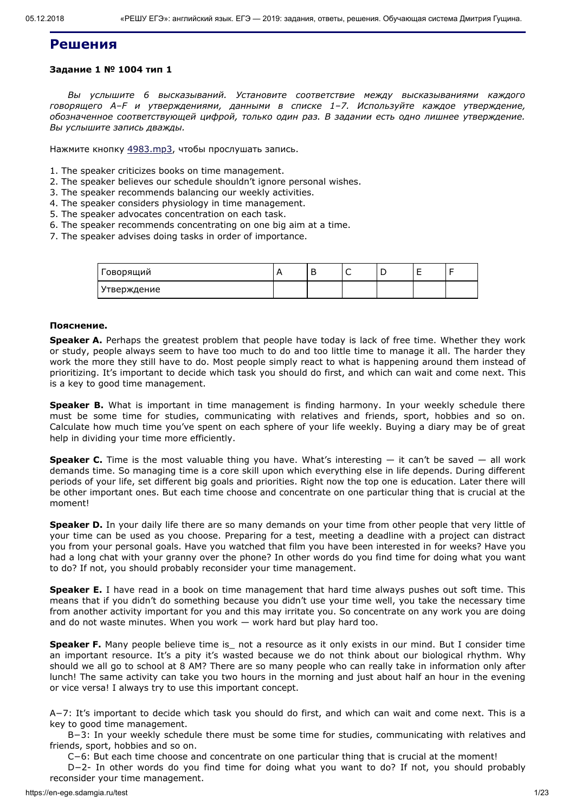# **Решения**

# **Задание 1 № 1004 тип 1**

*Вы услышите 6 высказываний. Установите соответствие между высказываниями каждого говорящего A–F и утверждениями, данными в списке 1–7. Используйте каждое утверждение, обозначенное соответствующей цифрой, только один раз. В задании есть одно лишнее утверждение. Вы услышите запись дважды.*

Нажмите кнопку [4983.mp3](https://en-ege.sdamgia.ru/files/4983.mp3), чтобы прослушать запись.

1. The speaker criticizes books on time management.

- 2. The speaker believes our schedule shouldn't ignore personal wishes.
- 3. The speaker recommends balancing our weekly activities.
- 4. The speaker considers physiology in time management.
- 5. The speaker advocates concentration on each task.
- 6. The speaker recommends concentrating on one big aim at a time.
- 7. The speaker advises doing tasks in order of importance.

| Говорящий   | $\sqrt{ }$ | ₽<br>ь | -<br>∼ | -<br>- |  |
|-------------|------------|--------|--------|--------|--|
| Утверждение |            |        |        |        |  |

# **Пояснение.**

**Speaker A.** Perhaps the greatest problem that people have today is lack of free time. Whether they work or study, people always seem to have too much to do and too little time to manage it all. The harder they work the more they still have to do. Most people simply react to what is happening around them instead of prioritizing. It's important to decide which task you should do first, and which can wait and come next. This is a key to good time management.

**Speaker В.** What is important in time management is finding harmony. In your weekly schedule there must be some time for studies, communicating with relatives and friends, sport, hobbies and so on. Calculate how much time you've spent on each sphere of your life weekly. Buying a diary may be of great help in dividing your time more efficiently.

**Speaker C.** Time is the most valuable thing you have. What's interesting  $-$  it can't be saved  $-$  all work demands time. So managing time is a core skill upon which everything else in life depends. During different periods of your life, set different big goals and priorities. Right now the top one is education. Later there will be other important ones. But each time choose and concentrate on one particular thing that is crucial at the moment!

**Speaker D.** In your daily life there are so many demands on your time from other people that very little of your time can be used as you choose. Preparing for a test, meeting a deadline with a project can distract you from your personal goals. Have you watched that film you have been interested in for weeks? Have you had a long chat with your granny over the phone? In other words do you find time for doing what you want to do? If not, you should probably reconsider your time management.

**Speaker Е.** I have read in a book on time management that hard time always pushes out soft time. This means that if you didn't do something because you didn't use your time well, you take the necessary time from another activity important for you and this may irritate you. So concentrate on any work you are doing and do not waste minutes. When you work  $-$  work hard but play hard too.

**Speaker F.** Many people believe time is not a resource as it only exists in our mind. But I consider time an important resource. It's a pity it's wasted because we do not think about our biological rhythm. Why should we all go to school at 8 AM? There are so many people who can really take in information only after lunch! The same activity can take you two hours in the morning and just about half an hour in the evening or vice versa! I always try to use this important concept.

A−7: It's important to decide which task you should do first, and which can wait and come next. This is a key to good time management.

B−3: In your weekly schedule there must be some time for studies, communicating with relatives and friends, sport, hobbies and so on.

C−6: But each time choose and concentrate on one particular thing that is crucial at the moment!

D−2- In other words do you find time for doing what you want to do? If not, you should probably reconsider your time management.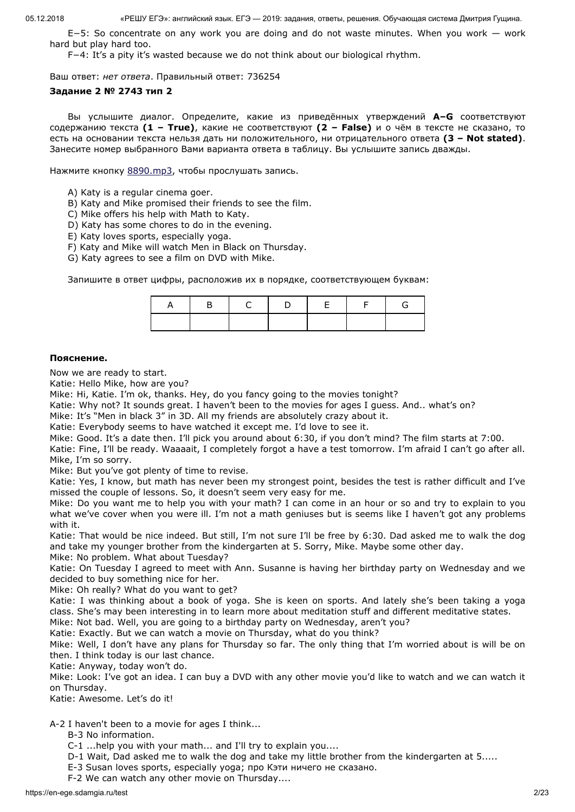E−5: So concentrate on any work you are doing and do not waste minutes. When you work — work hard but play hard too.

F−4: It's a pity it's wasted because we do not think about our biological rhythm.

Ваш ответ: *нет ответа*. Правильный ответ: 736254

# **Задание 2 № 2743 тип 2**

Вы услышите диалог. Определите, какие из приведённых утверждений **А–G** соответствуют содержанию текста **(1 – True)**, какие не соответствуют **(2 – False)** и о чём в тексте не сказано, то есть на основании текста нельзя дать ни положительного, ни отрицательного ответа **(3 – Not stated)**. Занесите номер выбранного Вами варианта ответа в таблицу. Вы услышите запись дважды.

Нажмите кнопку [8890.mp3](https://en-ege.sdamgia.ru/files/8890.mp3), чтобы прослушать запись.

- A) Katy is a regular cinema goer.
- B) Katy and Mike promised their friends to see the film.
- C) Mike offers his help with Math to Katy.
- D) Katy has some chores to do in the evening.
- E) Katy loves sports, especially yoga.
- F) Katy and Mike will watch Men in Black on Thursday.
- G) Katy agrees to see a film on DVD with Mike.

Запишите в ответ цифры, расположив их в порядке, соответствующем буквам:

| <b>B</b> | $C$ D | $\mathbf{I}$ | G |
|----------|-------|--------------|---|
|          |       |              |   |

# **Пояснение.**

Now we are ready to start.

Katie: Hello Mike, how are you?

Mike: Hi, Katie. I'm ok, thanks. Hey, do you fancy going to the movies tonight?

Katie: Why not? It sounds great. I haven't been to the movies for ages I guess. And.. what's on?

Mike: It's "Men in black 3" in 3D. All my friends are absolutely crazy about it.

Katie: Everybody seems to have watched it except me. I'd love to see it.

Mike: Good. It's a date then. I'll pick you around about 6:30, if you don't mind? The film starts at 7:00.

Katie: Fine, I'll be ready. Waaaait, I completely forgot a have a test tomorrow. I'm afraid I can't go after all. Mike, I'm so sorry.

Mike: But you've got plenty of time to revise.

Katie: Yes, I know, but math has never been my strongest point, besides the test is rather difficult and I've missed the couple of lessons. So, it doesn't seem very easy for me.

Mike: Do you want me to help you with your math? I can come in an hour or so and try to explain to you what we've cover when you were ill. I'm not a math geniuses but is seems like I haven't got any problems with it.

Katie: That would be nice indeed. But still, I'm not sure I'll be free by 6:30. Dad asked me to walk the dog and take my younger brother from the kindergarten at 5. Sorry, Mike. Maybe some other day.

Mike: No problem. What about Tuesday?

Katie: On Tuesday I agreed to meet with Ann. Susanne is having her birthday party on Wednesday and we decided to buy something nice for her.

Mike: Oh really? What do you want to get?

Katie: I was thinking about a book of yoga. She is keen on sports. And lately she's been taking a yoga class. She's may been interesting in to learn more about meditation stuff and different meditative states.

Mike: Not bad. Well, you are going to a birthday party on Wednesday, aren't you?

Katie: Exactly. But we can watch a movie on Thursday, what do you think?

Mike: Well, I don't have any plans for Thursday so far. The only thing that I'm worried about is will be on then. I think today is our last chance.

Katie: Anyway, today won't do.

Mike: Look: I've got an idea. I can buy a DVD with any other movie you'd like to watch and we can watch it on Thursday.

Katie: Awesome. Let's do it!

A-2 I haven't been to a movie for ages I think...

- В-3 No information.
- С-1 ...help you with your math... and I'll try to explain you....
- D-1 Wait, Dad asked me to walk the dog and take my little brother from the kindergarten at 5.....
- E-3 Susan loves sports, especially yoga; про Кэти ничего не сказано.
- F-2 We can watch any other movie on Thursday....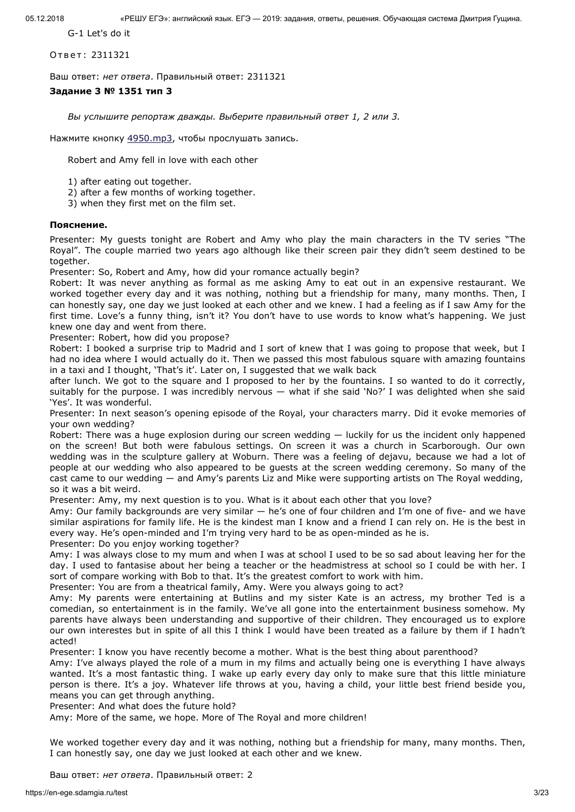G-1 Let's do it

Ответ: 2311321

Ваш ответ: *нет ответа*. Правильный ответ: 2311321

# **Задание 3 № 1351 тип 3**

*Вы услышите репортаж дважды. Выберите правильный ответ 1, 2 или 3.*

Нажмите кнопку [4950.mp3](https://en-ege.sdamgia.ru/files/4950.mp3), чтобы прослушать запись.

Robert and Amy fell in love with each other

1) after eating out together.

2) after a few months of working together.

3) when they first met on the film set.

#### **Пояснение.**

Presenter: My guests tonight are Robert and Amy who play the main characters in the TV series "The Royal". The couple married two years ago although like their screen pair they didn't seem destined to be together.

Presenter: So, Robert and Amy, how did your romance actually begin?

Robert: It was never anything as formal as me asking Amy to eat out in an expensive restaurant. We worked together every day and it was nothing, nothing but a friendship for many, many months. Then, I can honestly say, one day we just looked at each other and we knew. I had a feeling as if I saw Amy for the first time. Love's a funny thing, isn't it? You don't have to use words to know what's happening. We just knew one day and went from there.

Presenter: Robert, how did you propose?

Robert: I booked a surprise trip to Madrid and I sort of knew that I was going to propose that week, but I had no idea where I would actually do it. Then we passed this most fabulous square with amazing fountains in a taxi and I thought, 'That's it'. Later on, I suggested that we walk back

after lunch. We got to the square and I proposed to her by the fountains. I so wanted to do it correctly, suitably for the purpose. I was incredibly nervous — what if she said 'No?' I was delighted when she said 'Yes'. It was wonderful.

Presenter: In next season's opening episode of the Royal, your characters marry. Did it evoke memories of your own wedding?

Robert: There was a huge explosion during our screen wedding — luckily for us the incident only happened on the screen! But both were fabulous settings. On screen it was a church in Scarborough. Our own wedding was in the sculpture gallery at Woburn. There was a feeling of dejavu, because we had a lot of people at our wedding who also appeared to be guests at the screen wedding ceremony. So many of the cast came to our wedding — and Amy's parents Liz and Mike were supporting artists on The Royal wedding, so it was a bit weird.

Presenter: Amy, my next question is to you. What is it about each other that you love?

Amy: Our family backgrounds are very similar - he's one of four children and I'm one of five- and we have similar aspirations for family life. He is the kindest man I know and a friend I can rely on. He is the best in every way. He's open-minded and I'm trying very hard to be as open-minded as he is.

Presenter: Do you enjoy working together?

Amy: I was always close to my mum and when I was at school I used to be so sad about leaving her for the day. I used to fantasise about her being a teacher or the headmistress at school so I could be with her. I sort of compare working with Bob to that. It's the greatest comfort to work with him.

Presenter: You are from a theatrical family, Amy. Were you always going to act?

Amy: My parents were entertaining at Butlins and my sister Kate is an actress, my brother Ted is a comedian, so entertainment is in the family. We've all gone into the entertainment business somehow. My parents have always been understanding and supportive of their children. They encouraged us to explore our own interestes but in spite of all this I think I would have been treated as a failure by them if I hadn't acted!

Presenter: I know you have recently become a mother. What is the best thing about parenthood?

Amy: I've always played the role of a mum in my films and actually being one is everything I have always wanted. It's a most fantastic thing. I wake up early every day only to make sure that this little miniature person is there. It's a joy. Whatever life throws at you, having a child, your little best friend beside you, means you can get through anything.

Presenter: And what does the future hold?

Amy: More of the same, we hope. More of The Royal and more children!

We worked together every day and it was nothing, nothing but a friendship for many, many months. Then, I can honestly say, one day we just looked at each other and we knew.

Ваш ответ: *нет ответа*. Правильный ответ: 2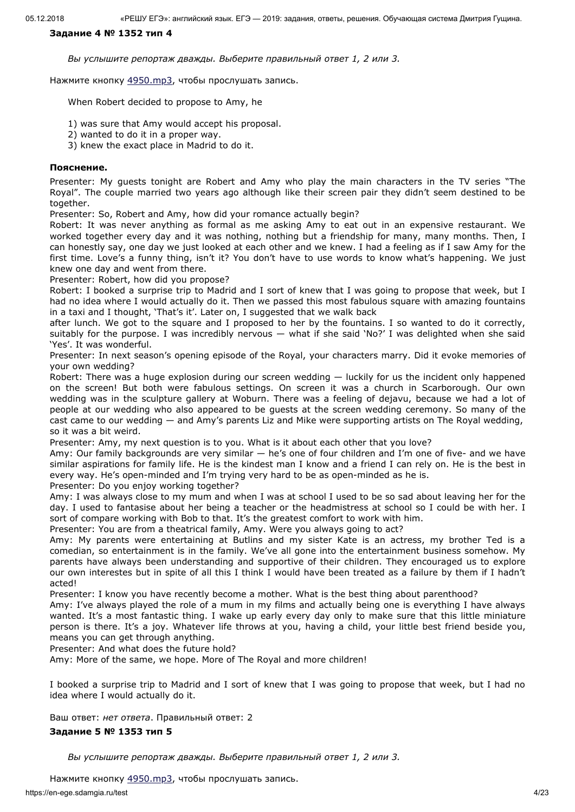#### **Задание 4 № 1352 тип 4**

*Вы услышите репортаж дважды. Выберите правильный ответ 1, 2 или 3.*

Нажмите кнопку [4950.mp3](https://en-ege.sdamgia.ru/files/4950.mp3), чтобы прослушать запись.

When Robert decided to propose to Amy, he

- 1) was sure that Amy would accept his proposal.
- 2) wanted to do it in a proper way.

3) knew the exact place in Madrid to do it.

#### **Пояснение.**

Presenter: My guests tonight are Robert and Amy who play the main characters in the TV series "The Royal". The couple married two years ago although like their screen pair they didn't seem destined to be together.

Presenter: So, Robert and Amy, how did your romance actually begin?

Robert: It was never anything as formal as me asking Amy to eat out in an expensive restaurant. We worked together every day and it was nothing, nothing but a friendship for many, many months. Then, I can honestly say, one day we just looked at each other and we knew. I had a feeling as if I saw Amy for the first time. Love's a funny thing, isn't it? You don't have to use words to know what's happening. We just knew one day and went from there.

Presenter: Robert, how did you propose?

Robert: I booked a surprise trip to Madrid and I sort of knew that I was going to propose that week, but I had no idea where I would actually do it. Then we passed this most fabulous square with amazing fountains in a taxi and I thought, 'That's it'. Later on, I suggested that we walk back

after lunch. We got to the square and I proposed to her by the fountains. I so wanted to do it correctly, suitably for the purpose. I was incredibly nervous — what if she said 'No?' I was delighted when she said 'Yes'. It was wonderful.

Presenter: In next season's opening episode of the Royal, your characters marry. Did it evoke memories of your own wedding?

Robert: There was a huge explosion during our screen wedding — luckily for us the incident only happened on the screen! But both were fabulous settings. On screen it was a church in Scarborough. Our own wedding was in the sculpture gallery at Woburn. There was a feeling of dejavu, because we had a lot of people at our wedding who also appeared to be guests at the screen wedding ceremony. So many of the cast came to our wedding — and Amy's parents Liz and Mike were supporting artists on The Royal wedding, so it was a bit weird.

Presenter: Amy, my next question is to you. What is it about each other that you love?

Amy: Our family backgrounds are very similar - he's one of four children and I'm one of five- and we have similar aspirations for family life. He is the kindest man I know and a friend I can rely on. He is the best in every way. He's open-minded and I'm trying very hard to be as open-minded as he is.

Presenter: Do you enjoy working together?

Amy: I was always close to my mum and when I was at school I used to be so sad about leaving her for the day. I used to fantasise about her being a teacher or the headmistress at school so I could be with her. I sort of compare working with Bob to that. It's the greatest comfort to work with him.

Presenter: You are from a theatrical family, Amy. Were you always going to act?

Amy: My parents were entertaining at Butlins and my sister Kate is an actress, my brother Ted is a comedian, so entertainment is in the family. We've all gone into the entertainment business somehow. My parents have always been understanding and supportive of their children. They encouraged us to explore our own interestes but in spite of all this I think I would have been treated as a failure by them if I hadn't acted!

Presenter: I know you have recently become a mother. What is the best thing about parenthood?

Amy: I've always played the role of a mum in my films and actually being one is everything I have always wanted. It's a most fantastic thing. I wake up early every day only to make sure that this little miniature person is there. It's a joy. Whatever life throws at you, having a child, your little best friend beside you, means you can get through anything.

Presenter: And what does the future hold?

Amy: More of the same, we hope. More of The Royal and more children!

I booked a surprise trip to Madrid and I sort of knew that I was going to propose that week, but I had no idea where I would actually do it.

Ваш ответ: *нет ответа*. Правильный ответ: 2

# **Задание 5 № 1353 тип 5**

*Вы услышите репортаж дважды. Выберите правильный ответ 1, 2 или 3.*

Нажмите кнопку [4950.mp3](https://en-ege.sdamgia.ru/files/4950.mp3), чтобы прослушать запись.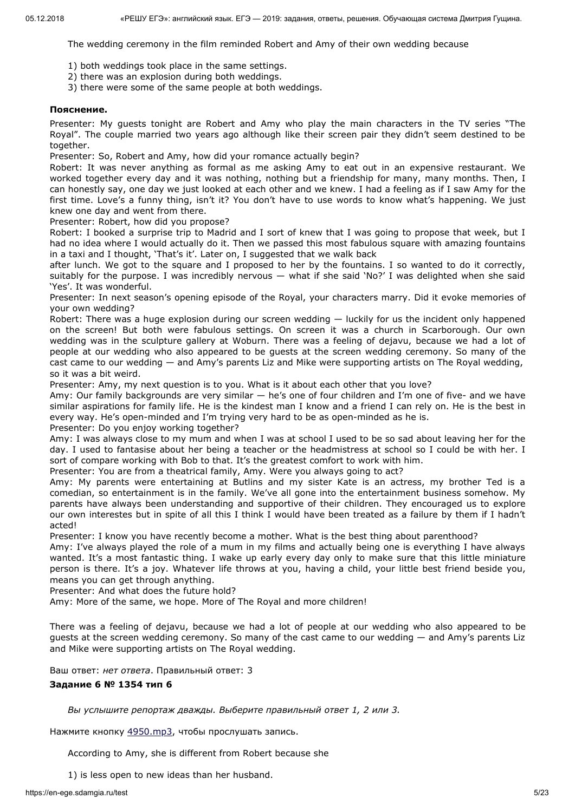The wedding ceremony in the film reminded Robert and Amy of their own wedding because

- 1) both weddings took place in the same settings.
- 2) there was an explosion during both weddings.
- 3) there were some of the same people at both weddings.

## **Пояснение.**

Presenter: My guests tonight are Robert and Amy who play the main characters in the TV series "The Royal". The couple married two years ago although like their screen pair they didn't seem destined to be together.

Presenter: So, Robert and Amy, how did your romance actually begin?

Robert: It was never anything as formal as me asking Amy to eat out in an expensive restaurant. We worked together every day and it was nothing, nothing but a friendship for many, many months. Then, I can honestly say, one day we just looked at each other and we knew. I had a feeling as if I saw Amy for the first time. Love's a funny thing, isn't it? You don't have to use words to know what's happening. We just knew one day and went from there.

Presenter: Robert, how did you propose?

Robert: I booked a surprise trip to Madrid and I sort of knew that I was going to propose that week, but I had no idea where I would actually do it. Then we passed this most fabulous square with amazing fountains in a taxi and I thought, 'That's it'. Later on, I suggested that we walk back

after lunch. We got to the square and I proposed to her by the fountains. I so wanted to do it correctly, suitably for the purpose. I was incredibly nervous — what if she said 'No?' I was delighted when she said 'Yes'. It was wonderful.

Presenter: In next season's opening episode of the Royal, your characters marry. Did it evoke memories of your own wedding?

Robert: There was a huge explosion during our screen wedding — luckily for us the incident only happened on the screen! But both were fabulous settings. On screen it was a church in Scarborough. Our own wedding was in the sculpture gallery at Woburn. There was a feeling of dejavu, because we had a lot of people at our wedding who also appeared to be guests at the screen wedding ceremony. So many of the cast came to our wedding — and Amy's parents Liz and Mike were supporting artists on The Royal wedding, so it was a bit weird.

Presenter: Amy, my next question is to you. What is it about each other that you love?

Amy: Our family backgrounds are very similar - he's one of four children and I'm one of five- and we have similar aspirations for family life. He is the kindest man I know and a friend I can rely on. He is the best in every way. He's open-minded and I'm trying very hard to be as open-minded as he is.

Presenter: Do you enjoy working together?

Amy: I was always close to my mum and when I was at school I used to be so sad about leaving her for the day. I used to fantasise about her being a teacher or the headmistress at school so I could be with her. I sort of compare working with Bob to that. It's the greatest comfort to work with him.

Presenter: You are from a theatrical family, Amy. Were you always going to act?

Amy: My parents were entertaining at Butlins and my sister Kate is an actress, my brother Ted is a comedian, so entertainment is in the family. We've all gone into the entertainment business somehow. My parents have always been understanding and supportive of their children. They encouraged us to explore our own interestes but in spite of all this I think I would have been treated as a failure by them if I hadn't acted!

Presenter: I know you have recently become a mother. What is the best thing about parenthood?

Amy: I've always played the role of a mum in my films and actually being one is everything I have always wanted. It's a most fantastic thing. I wake up early every day only to make sure that this little miniature person is there. It's a joy. Whatever life throws at you, having a child, your little best friend beside you, means you can get through anything.

Presenter: And what does the future hold?

Amy: More of the same, we hope. More of The Royal and more children!

There was a feeling of dejavu, because we had a lot of people at our wedding who also appeared to be guests at the screen wedding ceremony. So many of the cast came to our wedding — and Amy's parents Liz and Mike were supporting artists on The Royal wedding.

Ваш ответ: *нет ответа*. Правильный ответ: 3

# **Задание 6 № 1354 тип 6**

*Вы услышите репортаж дважды. Выберите правильный ответ 1, 2 или 3.*

Нажмите кнопку [4950.mp3](https://en-ege.sdamgia.ru/files/4950.mp3), чтобы прослушать запись.

According to Amy, she is different from Robert because she

1) is less open to new ideas than her husband.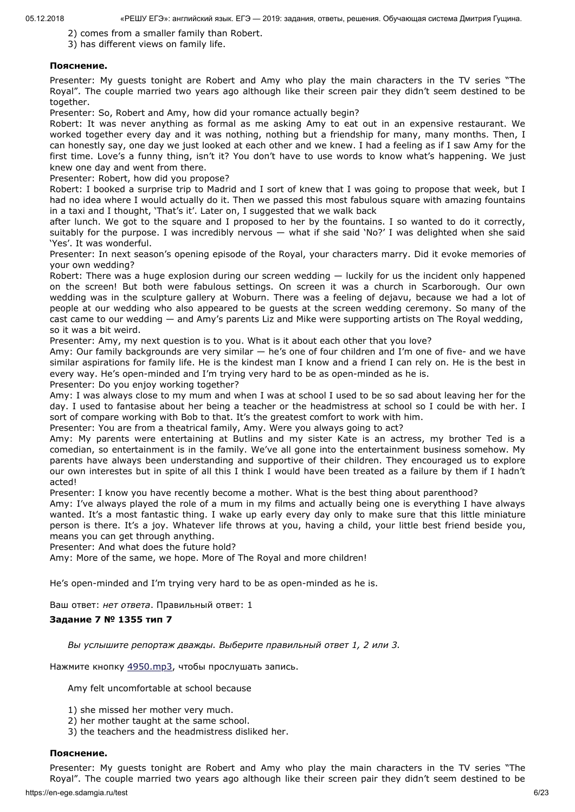2) comes from a smaller family than Robert.

3) has different views on family life.

# **Пояснение.**

Presenter: My guests tonight are Robert and Amy who play the main characters in the TV series "The Royal". The couple married two years ago although like their screen pair they didn't seem destined to be together.

Presenter: So, Robert and Amy, how did your romance actually begin?

Robert: It was never anything as formal as me asking Amy to eat out in an expensive restaurant. We worked together every day and it was nothing, nothing but a friendship for many, many months. Then, I can honestly say, one day we just looked at each other and we knew. I had a feeling as if I saw Amy for the first time. Love's a funny thing, isn't it? You don't have to use words to know what's happening. We just knew one day and went from there.

Presenter: Robert, how did you propose?

Robert: I booked a surprise trip to Madrid and I sort of knew that I was going to propose that week, but I had no idea where I would actually do it. Then we passed this most fabulous square with amazing fountains in a taxi and I thought, 'That's it'. Later on, I suggested that we walk back

after lunch. We got to the square and I proposed to her by the fountains. I so wanted to do it correctly, suitably for the purpose. I was incredibly nervous — what if she said 'No?' I was delighted when she said 'Yes'. It was wonderful.

Presenter: In next season's opening episode of the Royal, your characters marry. Did it evoke memories of your own wedding?

Robert: There was a huge explosion during our screen wedding — luckily for us the incident only happened on the screen! But both were fabulous settings. On screen it was a church in Scarborough. Our own wedding was in the sculpture gallery at Woburn. There was a feeling of dejavu, because we had a lot of people at our wedding who also appeared to be guests at the screen wedding ceremony. So many of the cast came to our wedding — and Amy's parents Liz and Mike were supporting artists on The Royal wedding, so it was a bit weird.

Presenter: Amy, my next question is to you. What is it about each other that you love?

Amy: Our family backgrounds are very similar — he's one of four children and I'm one of five- and we have similar aspirations for family life. He is the kindest man I know and a friend I can rely on. He is the best in every way. He's open-minded and I'm trying very hard to be as open-minded as he is.

Presenter: Do you enjoy working together?

Amy: I was always close to my mum and when I was at school I used to be so sad about leaving her for the day. I used to fantasise about her being a teacher or the headmistress at school so I could be with her. I sort of compare working with Bob to that. It's the greatest comfort to work with him.

Presenter: You are from a theatrical family, Amy. Were you always going to act?

Amy: My parents were entertaining at Butlins and my sister Kate is an actress, my brother Ted is a comedian, so entertainment is in the family. We've all gone into the entertainment business somehow. My parents have always been understanding and supportive of their children. They encouraged us to explore our own interestes but in spite of all this I think I would have been treated as a failure by them if I hadn't acted!

Presenter: I know you have recently become a mother. What is the best thing about parenthood?

Amy: I've always played the role of a mum in my films and actually being one is everything I have always wanted. It's a most fantastic thing. I wake up early every day only to make sure that this little miniature person is there. It's a joy. Whatever life throws at you, having a child, your little best friend beside you, means you can get through anything.

Presenter: And what does the future hold?

Amy: More of the same, we hope. More of The Royal and more children!

He's open-minded and I'm trying very hard to be as open-minded as he is.

Ваш ответ: *нет ответа*. Правильный ответ: 1

# **Задание 7 № 1355 тип 7**

*Вы услышите репортаж дважды. Выберите правильный ответ 1, 2 или 3.*

Нажмите кнопку [4950.mp3](https://en-ege.sdamgia.ru/files/4950.mp3), чтобы прослушать запись.

Amy felt uncomfortable at school because

- 1) she missed her mother very much.
- 2) her mother taught at the same school.
- 3) the teachers and the headmistress disliked her.

# **Пояснение.**

Presenter: My guests tonight are Robert and Amy who play the main characters in the TV series "The Royal". The couple married two years ago although like their screen pair they didn't seem destined to be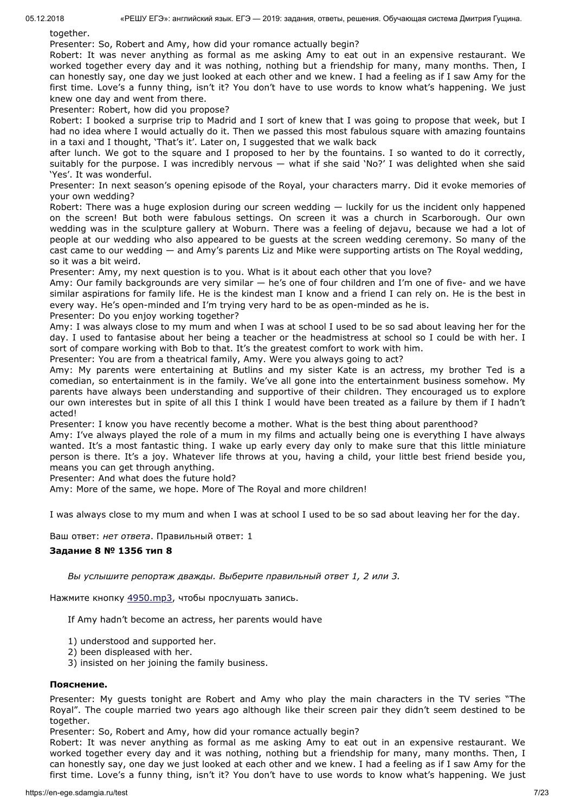together.

Presenter: So, Robert and Amy, how did your romance actually begin?

Robert: It was never anything as formal as me asking Amy to eat out in an expensive restaurant. We worked together every day and it was nothing, nothing but a friendship for many, many months. Then, I can honestly say, one day we just looked at each other and we knew. I had a feeling as if I saw Amy for the first time. Love's a funny thing, isn't it? You don't have to use words to know what's happening. We just knew one day and went from there.

Presenter: Robert, how did you propose?

Robert: I booked a surprise trip to Madrid and I sort of knew that I was going to propose that week, but I had no idea where I would actually do it. Then we passed this most fabulous square with amazing fountains in a taxi and I thought, 'That's it'. Later on, I suggested that we walk back

after lunch. We got to the square and I proposed to her by the fountains. I so wanted to do it correctly, suitably for the purpose. I was incredibly nervous — what if she said 'No?' I was delighted when she said 'Yes'. It was wonderful.

Presenter: In next season's opening episode of the Royal, your characters marry. Did it evoke memories of your own wedding?

Robert: There was a huge explosion during our screen wedding — luckily for us the incident only happened on the screen! But both were fabulous settings. On screen it was a church in Scarborough. Our own wedding was in the sculpture gallery at Woburn. There was a feeling of dejavu, because we had a lot of people at our wedding who also appeared to be guests at the screen wedding ceremony. So many of the cast came to our wedding — and Amy's parents Liz and Mike were supporting artists on The Royal wedding, so it was a bit weird.

Presenter: Amy, my next question is to you. What is it about each other that you love?

Amy: Our family backgrounds are very similar — he's one of four children and I'm one of five- and we have similar aspirations for family life. He is the kindest man I know and a friend I can rely on. He is the best in every way. He's open-minded and I'm trying very hard to be as open-minded as he is.

Presenter: Do you enjoy working together?

Amy: I was always close to my mum and when I was at school I used to be so sad about leaving her for the day. I used to fantasise about her being a teacher or the headmistress at school so I could be with her. I sort of compare working with Bob to that. It's the greatest comfort to work with him.

Presenter: You are from a theatrical family, Amy. Were you always going to act?

Amy: My parents were entertaining at Butlins and my sister Kate is an actress, my brother Ted is a comedian, so entertainment is in the family. We've all gone into the entertainment business somehow. My parents have always been understanding and supportive of their children. They encouraged us to explore our own interestes but in spite of all this I think I would have been treated as a failure by them if I hadn't acted!

Presenter: I know you have recently become a mother. What is the best thing about parenthood?

Amy: I've always played the role of a mum in my films and actually being one is everything I have always wanted. It's a most fantastic thing. I wake up early every day only to make sure that this little miniature person is there. It's a joy. Whatever life throws at you, having a child, your little best friend beside you, means you can get through anything.

Presenter: And what does the future hold?

Amy: More of the same, we hope. More of The Royal and more children!

I was always close to my mum and when I was at school I used to be so sad about leaving her for the day.

Ваш ответ: *нет ответа*. Правильный ответ: 1

# **Задание 8 № 1356 тип 8**

*Вы услышите репортаж дважды. Выберите правильный ответ 1, 2 или 3.*

Нажмите кнопку [4950.mp3](https://en-ege.sdamgia.ru/files/4950.mp3), чтобы прослушать запись.

If Amy hadn't become an actress, her parents would have

- 1) understood and supported her.
- 2) been displeased with her.
- 3) insisted on her joining the family business.

# **Пояснение.**

Presenter: My guests tonight are Robert and Amy who play the main characters in the TV series "The Royal". The couple married two years ago although like their screen pair they didn't seem destined to be together.

Presenter: So, Robert and Amy, how did your romance actually begin?

Robert: It was never anything as formal as me asking Amy to eat out in an expensive restaurant. We worked together every day and it was nothing, nothing but a friendship for many, many months. Then, I can honestly say, one day we just looked at each other and we knew. I had a feeling as if I saw Amy for the first time. Love's a funny thing, isn't it? You don't have to use words to know what's happening. We just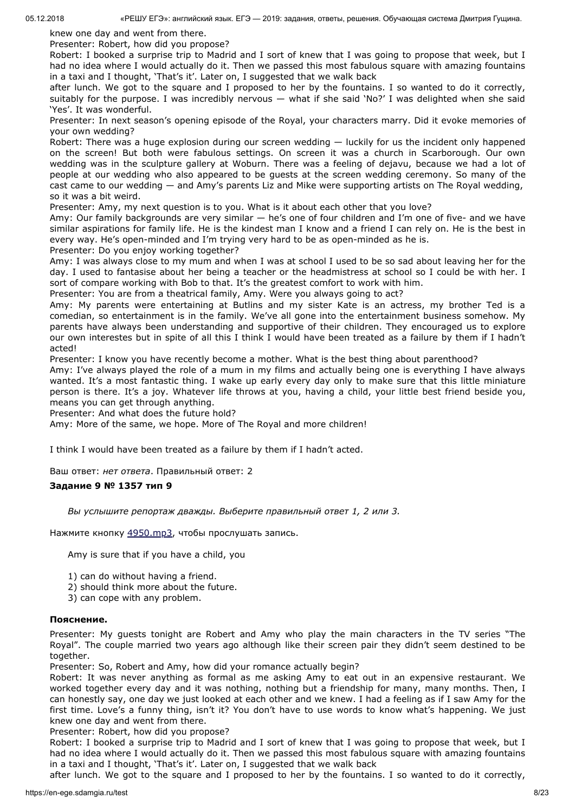knew one day and went from there.

Presenter: Robert, how did you propose?

Robert: I booked a surprise trip to Madrid and I sort of knew that I was going to propose that week, but I had no idea where I would actually do it. Then we passed this most fabulous square with amazing fountains in a taxi and I thought, 'That's it'. Later on, I suggested that we walk back

after lunch. We got to the square and I proposed to her by the fountains. I so wanted to do it correctly, suitably for the purpose. I was incredibly nervous - what if she said 'No?' I was delighted when she said 'Yes'. It was wonderful.

Presenter: In next season's opening episode of the Royal, your characters marry. Did it evoke memories of your own wedding?

Robert: There was a huge explosion during our screen wedding — luckily for us the incident only happened on the screen! But both were fabulous settings. On screen it was a church in Scarborough. Our own wedding was in the sculpture gallery at Woburn. There was a feeling of dejavu, because we had a lot of people at our wedding who also appeared to be guests at the screen wedding ceremony. So many of the cast came to our wedding — and Amy's parents Liz and Mike were supporting artists on The Royal wedding, so it was a bit weird.

Presenter: Amy, my next question is to you. What is it about each other that you love?

Amy: Our family backgrounds are very similar — he's one of four children and I'm one of five- and we have similar aspirations for family life. He is the kindest man I know and a friend I can rely on. He is the best in every way. He's open-minded and I'm trying very hard to be as open-minded as he is.

Presenter: Do you enjoy working together?

Amy: I was always close to my mum and when I was at school I used to be so sad about leaving her for the day. I used to fantasise about her being a teacher or the headmistress at school so I could be with her. I sort of compare working with Bob to that. It's the greatest comfort to work with him.

Presenter: You are from a theatrical family, Amy. Were you always going to act?

Amy: My parents were entertaining at Butlins and my sister Kate is an actress, my brother Ted is a comedian, so entertainment is in the family. We've all gone into the entertainment business somehow. My parents have always been understanding and supportive of their children. They encouraged us to explore our own interestes but in spite of all this I think I would have been treated as a failure by them if I hadn't acted!

Presenter: I know you have recently become a mother. What is the best thing about parenthood?

Amy: I've always played the role of a mum in my films and actually being one is everything I have always wanted. It's a most fantastic thing. I wake up early every day only to make sure that this little miniature person is there. It's a joy. Whatever life throws at you, having a child, your little best friend beside you, means you can get through anything.

Presenter: And what does the future hold?

Amy: More of the same, we hope. More of The Royal and more children!

I think I would have been treated as a failure by them if I hadn't acted.

Ваш ответ: *нет ответа*. Правильный ответ: 2

# **Задание 9 № 1357 тип 9**

*Вы услышите репортаж дважды. Выберите правильный ответ 1, 2 или 3.*

Нажмите кнопку [4950.mp3](https://en-ege.sdamgia.ru/files/4950.mp3), чтобы прослушать запись.

Amy is sure that if you have a child, you

- 1) can do without having a friend.
- 2) should think more about the future.
- 3) can cope with any problem.

# **Пояснение.**

Presenter: My guests tonight are Robert and Amy who play the main characters in the TV series "The Royal". The couple married two years ago although like their screen pair they didn't seem destined to be together.

Presenter: So, Robert and Amy, how did your romance actually begin?

Robert: It was never anything as formal as me asking Amy to eat out in an expensive restaurant. We worked together every day and it was nothing, nothing but a friendship for many, many months. Then, I can honestly say, one day we just looked at each other and we knew. I had a feeling as if I saw Amy for the first time. Love's a funny thing, isn't it? You don't have to use words to know what's happening. We just knew one day and went from there.

Presenter: Robert, how did you propose?

Robert: I booked a surprise trip to Madrid and I sort of knew that I was going to propose that week, but I had no idea where I would actually do it. Then we passed this most fabulous square with amazing fountains in a taxi and I thought, 'That's it'. Later on, I suggested that we walk back

after lunch. We got to the square and I proposed to her by the fountains. I so wanted to do it correctly,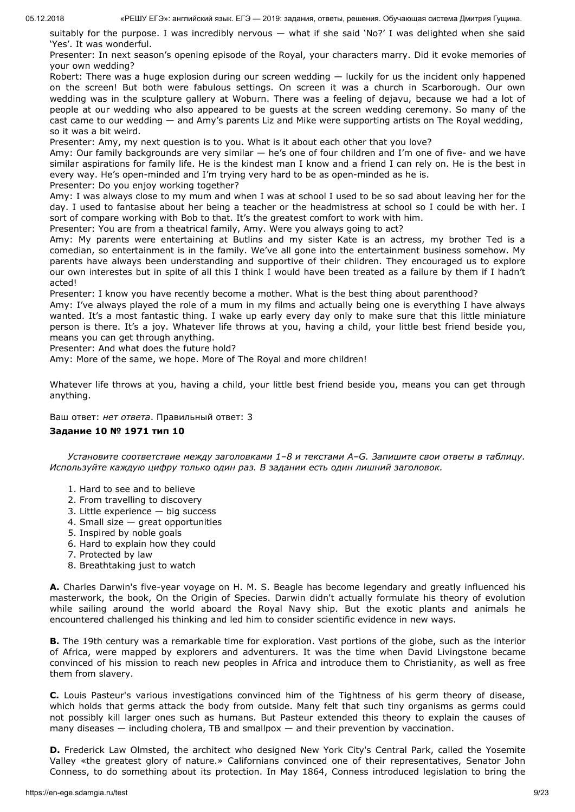suitably for the purpose. I was incredibly nervous — what if she said 'No?' I was delighted when she said 'Yes'. It was wonderful.

Presenter: In next season's opening episode of the Royal, your characters marry. Did it evoke memories of your own wedding?

Robert: There was a huge explosion during our screen wedding — luckily for us the incident only happened on the screen! But both were fabulous settings. On screen it was a church in Scarborough. Our own wedding was in the sculpture gallery at Woburn. There was a feeling of dejavu, because we had a lot of people at our wedding who also appeared to be guests at the screen wedding ceremony. So many of the cast came to our wedding — and Amy's parents Liz and Mike were supporting artists on The Royal wedding, so it was a bit weird.

Presenter: Amy, my next question is to you. What is it about each other that you love?

Amy: Our family backgrounds are very similar - he's one of four children and I'm one of five- and we have similar aspirations for family life. He is the kindest man I know and a friend I can rely on. He is the best in every way. He's open-minded and I'm trying very hard to be as open-minded as he is. Presenter: Do you enjoy working together?

Amy: I was always close to my mum and when I was at school I used to be so sad about leaving her for the day. I used to fantasise about her being a teacher or the headmistress at school so I could be with her. I sort of compare working with Bob to that. It's the greatest comfort to work with him.

Presenter: You are from a theatrical family, Amy. Were you always going to act?

Amy: My parents were entertaining at Butlins and my sister Kate is an actress, my brother Ted is a comedian, so entertainment is in the family. We've all gone into the entertainment business somehow. My parents have always been understanding and supportive of their children. They encouraged us to explore our own interestes but in spite of all this I think I would have been treated as a failure by them if I hadn't acted!

Presenter: I know you have recently become a mother. What is the best thing about parenthood?

Amy: I've always played the role of a mum in my films and actually being one is everything I have always wanted. It's a most fantastic thing. I wake up early every day only to make sure that this little miniature person is there. It's a joy. Whatever life throws at you, having a child, your little best friend beside you, means you can get through anything.

Presenter: And what does the future hold?

Amy: More of the same, we hope. More of The Royal and more children!

Whatever life throws at you, having a child, your little best friend beside you, means you can get through anything.

Ваш ответ: *нет ответа*. Правильный ответ: 3

# **Задание 10 № 1971 тип 10**

*Установите соответствие между заголовками 1–8 и текстами A–G. Запишите свои ответы в таблицу. Используйте каждую цифру только один раз. В задании есть один лишний заголовок.*

- 1. Hard to see and to believe
- 2. From travelling to discovery
- 3. Little experience big success
- 4. Small size great opportunities
- 5. Inspired by noble goals
- 6. Hard to explain how they could
- 7. Protected by law
- 8. Breathtaking just to watch

**A.** Charles Darwin's five-year voyage on H. M. S. Beagle has become legendary and greatly influenced his masterwork, the book, On the Origin of Species. Darwin didn't actually formulate his theory of evolution while sailing around the world aboard the Royal Navy ship. But the exotic plants and animals he encountered challenged his thinking and led him to consider scientific evidence in new ways.

**B.** The 19th century was a remarkable time for exploration. Vast portions of the globe, such as the interior of Africa, were mapped by explorers and adventurers. It was the time when David Livingstone became convinced of his mission to reach new peoples in Africa and introduce them to Christianity, as well as free them from slavery.

**C.** Louis Pasteur's various investigations convinced him of the Tightness of his germ theory of disease, which holds that germs attack the body from outside. Many felt that such tiny organisms as germs could not possibly kill larger ones such as humans. But Pasteur extended this theory to explain the causes of many diseases  $-$  including cholera, TB and smallpox  $-$  and their prevention by vaccination.

**D.** Frederick Law Olmsted, the architect who designed New York City's Central Park, called the Yosemite Valley «the greatest glory of nature.» Californians convinced one of their representatives, Senator John Conness, to do something about its protection. In May 1864, Conness introduced legislation to bring the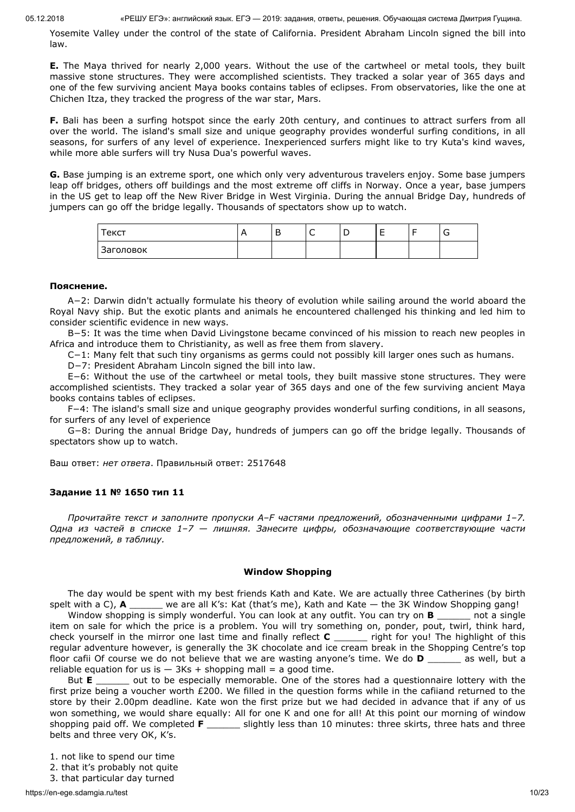Yosemite Valley under the control of the state of California. President Abraham Lincoln signed the bill into law.

**E.** The Maya thrived for nearly 2,000 years. Without the use of the cartwheel or metal tools, they built massive stone structures. They were accomplished scientists. They tracked a solar year of 365 days and one of the few surviving ancient Maya books contains tables of eclipses. From observatories, like the one at Chichen Itza, they tracked the progress of the war star, Mars.

**F.** Bali has been a surfing hotspot since the early 20th century, and continues to attract surfers from all over the world. The island's small size and unique geography provides wonderful surfing conditions, in all seasons, for surfers of any level of experience. Inexperienced surfers might like to try Kuta's kind waves, while more able surfers will try Nusa Dua's powerful waves.

**G.** Base jumping is an extreme sport, one which only very adventurous travelers enjoy. Some base jumpers leap off bridges, others off buildings and the most extreme off cliffs in Norway. Once a year, base jumpers in the US get to leap off the New River Bridge in West Virginia. During the annual Bridge Day, hundreds of jumpers can go off the bridge legally. Thousands of spectators show up to watch.

| екст      |  | ∽<br>◡ | ┕ | -<br>-<br>_ | $\overline{\phantom{0}}$ | ∽<br>◡ |
|-----------|--|--------|---|-------------|--------------------------|--------|
| Заголовок |  |        |   |             |                          |        |

# **Пояснение.**

A−2: Darwin didn't actually formulate his theory of evolution while sailing around the world aboard the Royal Navy ship. But the exotic plants and animals he encountered challenged his thinking and led him to consider scientific evidence in new ways.

B−5: It was the time when David Livingstone became convinced of his mission to reach new peoples in Africa and introduce them to Christianity, as well as free them from slavery.

C−1: Many felt that such tiny organisms as germs could not possibly kill larger ones such as humans.

D−7: President Abraham Lincoln signed the bill into law.

E−6: Without the use of the cartwheel or metal tools, they built massive stone structures. They were accomplished scientists. They tracked a solar year of 365 days and one of the few surviving ancient Maya books contains tables of eclipses.

F−4: The island's small size and unique geography provides wonderful surfing conditions, in all seasons, for surfers of any level of experience

G−8: During the annual Bridge Day, hundreds of jumpers can go off the bridge legally. Thousands of spectators show up to watch.

Ваш ответ: *нет ответа*. Правильный ответ: 2517648

# **Задание 11 № 1650 тип 11**

*Прочитайте текст и заполните пропуски A–F частями предложений, обозначенными цифрами 1–7. Одна из частей в списке 1–7 — лишняя. Занесите цифры, обозначающие соответствующие части предложений, в таблицу.*

#### **Window Shopping**

The day would be spent with my best friends Kath and Kate. We are actually three Catherines (by birth spelt with a C), **A** \_\_\_\_\_\_ we are all K's: Kat (that's me), Kath and Kate — the 3K Window Shopping gang!

Window shopping is simply wonderful. You can look at any outfit. You can try on **B** \_\_\_\_\_ not a single item on sale for which the price is a problem. You will try something on, ponder, pout, twirl, think hard, check yourself in the mirror one last time and finally reflect **C** regular adventure however, is generally the 3K chocolate and ice cream break in the Shopping Centre's top floor cafii Of course we do not believe that we are wasting anyone's time. We do **D** \_\_\_\_\_\_ as well, but a reliable equation for us is  $-3$ Ks + shopping mall = a good time.

But **E** \_\_\_\_\_\_ out to be especially memorable. One of the stores had a questionnaire lottery with the first prize being a voucher worth £200. We filled in the question forms while in the cafiiand returned to the store by their 2.00pm deadline. Kate won the first prize but we had decided in advance that if any of us won something, we would share equally: All for one K and one for all! At this point our morning of window shopping paid off. We completed **F** and slightly less than 10 minutes: three skirts, three hats and three belts and three very OK, K's.

- 1. not like to spend our time
- 2. that it's probably not quite
- 3. that particular day turned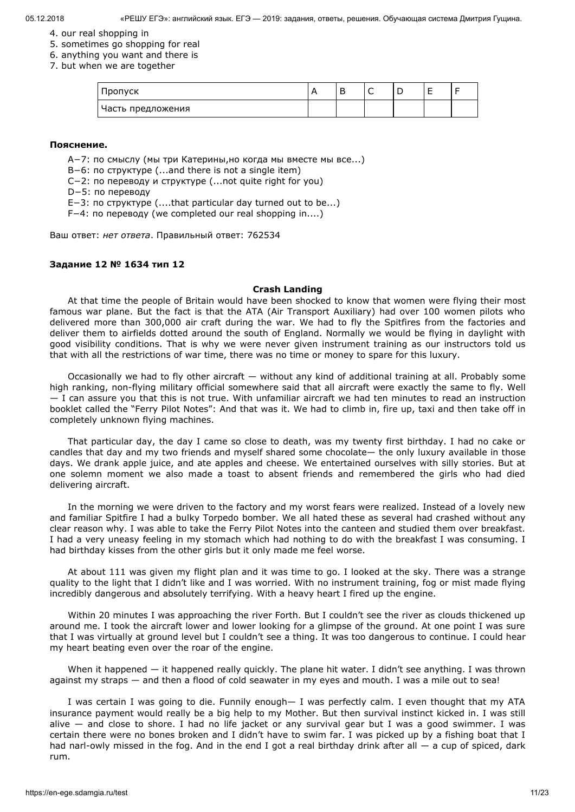4. our real shopping in

- 5. sometimes go shopping for real
- 6. anything you want and there is
- 7. but when we are together

| <b>VCN</b>        | −<br>┕ | -<br>◡ | -<br>◡ | - |  |
|-------------------|--------|--------|--------|---|--|
| часть предложения |        |        |        |   |  |

#### **Пояснение.**

A−7: по смыслу (мы три Катерины,но когда мы вместе мы все...)

B−6: по структуре (...and there is not a single item)

C−2: по переводу и структуре (...not quite right for you)

D−5: по переводу

E−3: по структуре (....that particular day turned out to be...)

F−4: по переводу (we completed our real shopping in....)

Ваш ответ: *нет ответа*. Правильный ответ: 762534

# **Задание 12 № 1634 тип 12**

#### **Crash Landing**

At that time the people of Britain would have been shocked to know that women were flying their most famous war plane. But the fact is that the ATA (Air Transport Auxiliary) had over 100 women pilots who delivered more than 300,000 air craft during the war. We had to fly the Spitfires from the factories and deliver them to airfields dotted around the south of England. Normally we would be flying in daylight with good visibility conditions. That is why we were never given instrument training as our instructors told us that with all the restrictions of war time, there was no time or money to spare for this luxury.

Occasionally we had to fly other aircraft — without any kind of additional training at all. Probably some high ranking, non-flying military official somewhere said that all aircraft were exactly the same to fly. Well — I can assure you that this is not true. With unfamiliar aircraft we had ten minutes to read an instruction booklet called the "Ferry Pilot Notes": And that was it. We had to climb in, fire up, taxi and then take off in completely unknown flying machines.

That particular day, the day I came so close to death, was my twenty first birthday. I had no cake or candles that day and my two friends and myself shared some chocolate— the only luxury available in those days. We drank apple juice, and ate apples and cheese. We entertained ourselves with silly stories. But at one solemn moment we also made a toast to absent friends and remembered the girls who had died delivering aircraft.

In the morning we were driven to the factory and my worst fears were realized. Instead of a lovely new and familiar Spitfire I had a bulky Torpedo bomber. We all hated these as several had crashed without any clear reason why. I was able to take the Ferry Pilot Notes into the canteen and studied them over breakfast. I had a very uneasy feeling in my stomach which had nothing to do with the breakfast I was consuming. I had birthday kisses from the other girls but it only made me feel worse.

At about 111 was given my flight plan and it was time to go. I looked at the sky. There was a strange quality to the light that I didn't like and I was worried. With no instrument training, fog or mist made flying incredibly dangerous and absolutely terrifying. With a heavy heart I fired up the engine.

Within 20 minutes I was approaching the river Forth. But I couldn't see the river as clouds thickened up around me. I took the aircraft lower and lower looking for a glimpse of the ground. At one point I was sure that I was virtually at ground level but I couldn't see a thing. It was too dangerous to continue. I could hear my heart beating even over the roar of the engine.

When it happened — it happened really quickly. The plane hit water. I didn't see anything. I was thrown against my straps — and then a flood of cold seawater in my eyes and mouth. I was a mile out to sea!

I was certain I was going to die. Funnily enough— I was perfectly calm. I even thought that my ATA insurance payment would really be a big help to my Mother. But then survival instinct kicked in. I was still alive — and close to shore. I had no life jacket or any survival gear but I was a good swimmer. I was certain there were no bones broken and I didn't have to swim far. I was picked up by a fishing boat that I had narl-owly missed in the fog. And in the end I got a real birthday drink after all — a cup of spiced, dark rum.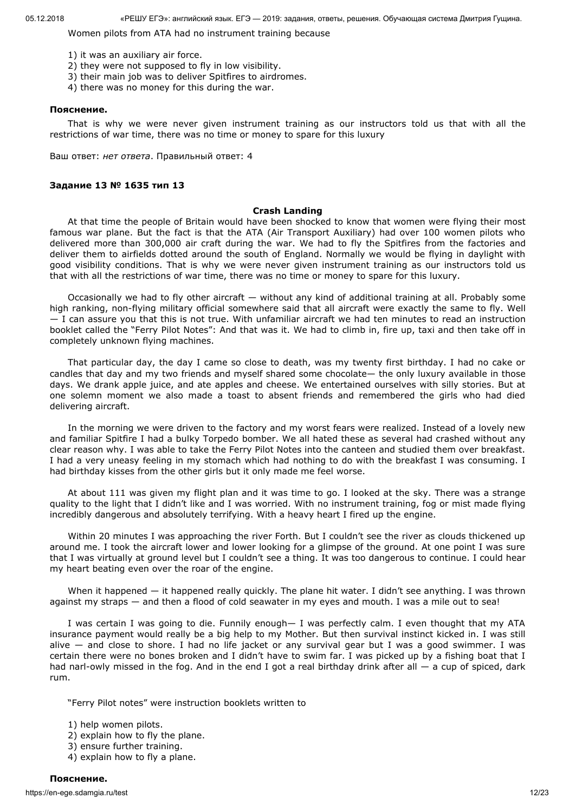Women pilots from АТА had no instrument training because

- 1) it was an auxiliary air force.
- 2) they were not supposed to fly in low visibility.
- 3) their main job was to deliver Spitfires to airdromes.
- 4) there was no money for this during the war.

## **Пояснение.**

That is why we were never given instrument training as our instructors told us that with all the restrictions of war time, there was no time or money to spare for this luxury

Ваш ответ: *нет ответа*. Правильный ответ: 4

# **Задание 13 № 1635 тип 13**

#### **Crash Landing**

At that time the people of Britain would have been shocked to know that women were flying their most famous war plane. But the fact is that the ATA (Air Transport Auxiliary) had over 100 women pilots who delivered more than 300,000 air craft during the war. We had to fly the Spitfires from the factories and deliver them to airfields dotted around the south of England. Normally we would be flying in daylight with good visibility conditions. That is why we were never given instrument training as our instructors told us that with all the restrictions of war time, there was no time or money to spare for this luxury.

Occasionally we had to fly other aircraft — without any kind of additional training at all. Probably some high ranking, non-flying military official somewhere said that all aircraft were exactly the same to fly. Well — I can assure you that this is not true. With unfamiliar aircraft we had ten minutes to read an instruction booklet called the "Ferry Pilot Notes": And that was it. We had to climb in, fire up, taxi and then take off in completely unknown flying machines.

That particular day, the day I came so close to death, was my twenty first birthday. I had no cake or candles that day and my two friends and myself shared some chocolate— the only luxury available in those days. We drank apple juice, and ate apples and cheese. We entertained ourselves with silly stories. But at one solemn moment we also made a toast to absent friends and remembered the girls who had died delivering aircraft.

In the morning we were driven to the factory and my worst fears were realized. Instead of a lovely new and familiar Spitfire I had a bulky Torpedo bomber. We all hated these as several had crashed without any clear reason why. I was able to take the Ferry Pilot Notes into the canteen and studied them over breakfast. I had a very uneasy feeling in my stomach which had nothing to do with the breakfast I was consuming. I had birthday kisses from the other girls but it only made me feel worse.

At about 111 was given my flight plan and it was time to go. I looked at the sky. There was a strange quality to the light that I didn't like and I was worried. With no instrument training, fog or mist made flying incredibly dangerous and absolutely terrifying. With a heavy heart I fired up the engine.

Within 20 minutes I was approaching the river Forth. But I couldn't see the river as clouds thickened up around me. I took the aircraft lower and lower looking for a glimpse of the ground. At one point I was sure that I was virtually at ground level but I couldn't see a thing. It was too dangerous to continue. I could hear my heart beating even over the roar of the engine.

When it happened — it happened really quickly. The plane hit water. I didn't see anything. I was thrown against my straps — and then a flood of cold seawater in my eyes and mouth. I was a mile out to sea!

I was certain I was going to die. Funnily enough— I was perfectly calm. I even thought that my ATA insurance payment would really be a big help to my Mother. But then survival instinct kicked in. I was still alive — and close to shore. I had no life jacket or any survival gear but I was a good swimmer. I was certain there were no bones broken and I didn't have to swim far. I was picked up by a fishing boat that I had narl-owly missed in the fog. And in the end I got a real birthday drink after all — a cup of spiced, dark rum.

"Ferry Pilot notes" were instruction booklets written to

- 1) help women pilots.
- 2) explain how to fly the plane.
- 3) ensure further training.
- 4) explain how to fly a plane.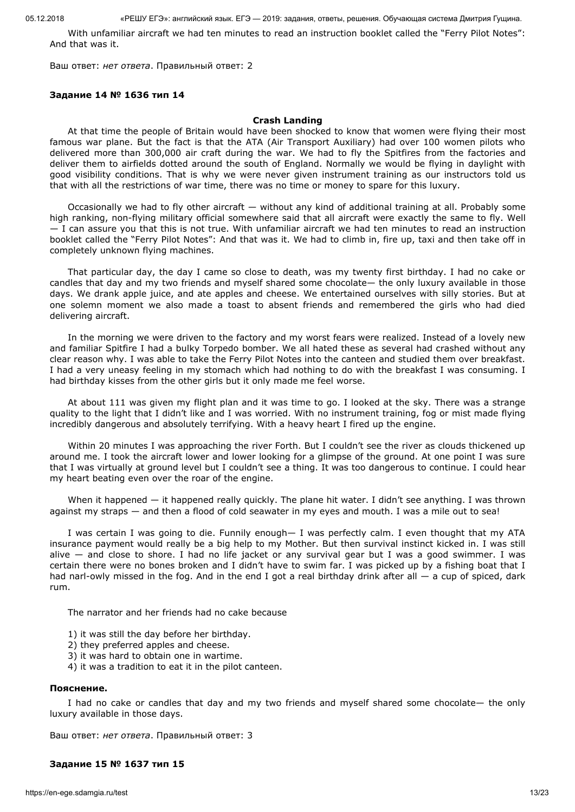With unfamiliar aircraft we had ten minutes to read an instruction booklet called the "Ferry Pilot Notes": And that was it.

Ваш ответ: *нет ответа*. Правильный ответ: 2

#### **Задание 14 № 1636 тип 14**

### **Crash Landing**

At that time the people of Britain would have been shocked to know that women were flying their most famous war plane. But the fact is that the ATA (Air Transport Auxiliary) had over 100 women pilots who delivered more than 300,000 air craft during the war. We had to fly the Spitfires from the factories and deliver them to airfields dotted around the south of England. Normally we would be flying in daylight with good visibility conditions. That is why we were never given instrument training as our instructors told us that with all the restrictions of war time, there was no time or money to spare for this luxury.

Occasionally we had to fly other aircraft — without any kind of additional training at all. Probably some high ranking, non-flying military official somewhere said that all aircraft were exactly the same to fly. Well — I can assure you that this is not true. With unfamiliar aircraft we had ten minutes to read an instruction booklet called the "Ferry Pilot Notes": And that was it. We had to climb in, fire up, taxi and then take off in completely unknown flying machines.

That particular day, the day I came so close to death, was my twenty first birthday. I had no cake or candles that day and my two friends and myself shared some chocolate— the only luxury available in those days. We drank apple juice, and ate apples and cheese. We entertained ourselves with silly stories. But at one solemn moment we also made a toast to absent friends and remembered the girls who had died delivering aircraft.

In the morning we were driven to the factory and my worst fears were realized. Instead of a lovely new and familiar Spitfire I had a bulky Torpedo bomber. We all hated these as several had crashed without any clear reason why. I was able to take the Ferry Pilot Notes into the canteen and studied them over breakfast. I had a very uneasy feeling in my stomach which had nothing to do with the breakfast I was consuming. I had birthday kisses from the other girls but it only made me feel worse.

At about 111 was given my flight plan and it was time to go. I looked at the sky. There was a strange quality to the light that I didn't like and I was worried. With no instrument training, fog or mist made flying incredibly dangerous and absolutely terrifying. With a heavy heart I fired up the engine.

Within 20 minutes I was approaching the river Forth. But I couldn't see the river as clouds thickened up around me. I took the aircraft lower and lower looking for a glimpse of the ground. At one point I was sure that I was virtually at ground level but I couldn't see a thing. It was too dangerous to continue. I could hear my heart beating even over the roar of the engine.

When it happened — it happened really quickly. The plane hit water. I didn't see anything. I was thrown against my straps — and then a flood of cold seawater in my eyes and mouth. I was a mile out to sea!

I was certain I was going to die. Funnily enough— I was perfectly calm. I even thought that my ATA insurance payment would really be a big help to my Mother. But then survival instinct kicked in. I was still alive — and close to shore. I had no life jacket or any survival gear but I was a good swimmer. I was certain there were no bones broken and I didn't have to swim far. I was picked up by a fishing boat that I had narl-owly missed in the fog. And in the end I got a real birthday drink after all — a cup of spiced, dark rum.

The narrator and her friends had no cake because

- 1) it was still the day before her birthday.
- 2) they preferred apples and cheese.
- 3) it was hard to obtain one in wartime.
- 4) it was a tradition to eat it in the pilot canteen.

#### **Пояснение.**

I had no cake or candles that day and my two friends and myself shared some chocolate— the only luxury available in those days.

Ваш ответ: *нет ответа*. Правильный ответ: 3

#### **Задание 15 № 1637 тип 15**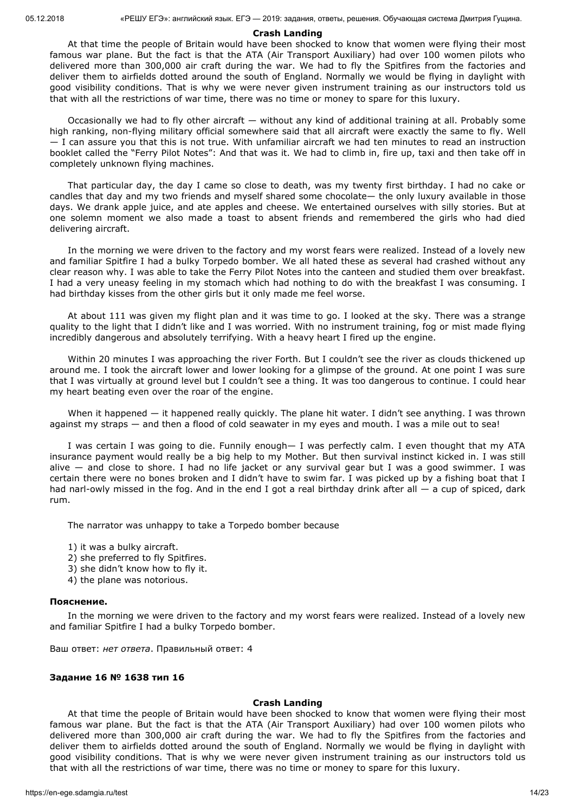#### **Crash Landing**

At that time the people of Britain would have been shocked to know that women were flying their most famous war plane. But the fact is that the ATA (Air Transport Auxiliary) had over 100 women pilots who delivered more than 300,000 air craft during the war. We had to fly the Spitfires from the factories and deliver them to airfields dotted around the south of England. Normally we would be flying in daylight with good visibility conditions. That is why we were never given instrument training as our instructors told us that with all the restrictions of war time, there was no time or money to spare for this luxury.

Occasionally we had to fly other aircraft — without any kind of additional training at all. Probably some high ranking, non-flying military official somewhere said that all aircraft were exactly the same to fly. Well — I can assure you that this is not true. With unfamiliar aircraft we had ten minutes to read an instruction booklet called the "Ferry Pilot Notes": And that was it. We had to climb in, fire up, taxi and then take off in completely unknown flying machines.

That particular day, the day I came so close to death, was my twenty first birthday. I had no cake or candles that day and my two friends and myself shared some chocolate— the only luxury available in those days. We drank apple juice, and ate apples and cheese. We entertained ourselves with silly stories. But at one solemn moment we also made a toast to absent friends and remembered the girls who had died delivering aircraft.

In the morning we were driven to the factory and my worst fears were realized. Instead of a lovely new and familiar Spitfire I had a bulky Torpedo bomber. We all hated these as several had crashed without any clear reason why. I was able to take the Ferry Pilot Notes into the canteen and studied them over breakfast. I had a very uneasy feeling in my stomach which had nothing to do with the breakfast I was consuming. I had birthday kisses from the other girls but it only made me feel worse.

At about 111 was given my flight plan and it was time to go. I looked at the sky. There was a strange quality to the light that I didn't like and I was worried. With no instrument training, fog or mist made flying incredibly dangerous and absolutely terrifying. With a heavy heart I fired up the engine.

Within 20 minutes I was approaching the river Forth. But I couldn't see the river as clouds thickened up around me. I took the aircraft lower and lower looking for a glimpse of the ground. At one point I was sure that I was virtually at ground level but I couldn't see a thing. It was too dangerous to continue. I could hear my heart beating even over the roar of the engine.

When it happened — it happened really quickly. The plane hit water. I didn't see anything. I was thrown against my straps — and then a flood of cold seawater in my eyes and mouth. I was a mile out to sea!

I was certain I was going to die. Funnily enough— I was perfectly calm. I even thought that my ATA insurance payment would really be a big help to my Mother. But then survival instinct kicked in. I was still alive — and close to shore. I had no life jacket or any survival gear but I was a good swimmer. I was certain there were no bones broken and I didn't have to swim far. I was picked up by a fishing boat that I had narl-owly missed in the fog. And in the end I got a real birthday drink after all — a cup of spiced, dark rum.

The narrator was unhappy to take a Torpedo bomber because

- 1) it was a bulky aircraft.
- 2) she preferred to fly Spitfires.
- 3) she didn't know how to fly it.
- 4) the plane was notorious.

#### **Пояснение.**

In the morning we were driven to the factory and my worst fears were realized. Instead of a lovely new and familiar Spitfire I had a bulky Torpedo bomber.

Ваш ответ: *нет ответа*. Правильный ответ: 4

#### **Задание 16 № 1638 тип 16**

# **Crash Landing**

At that time the people of Britain would have been shocked to know that women were flying their most famous war plane. But the fact is that the ATA (Air Transport Auxiliary) had over 100 women pilots who delivered more than 300,000 air craft during the war. We had to fly the Spitfires from the factories and deliver them to airfields dotted around the south of England. Normally we would be flying in daylight with good visibility conditions. That is why we were never given instrument training as our instructors told us that with all the restrictions of war time, there was no time or money to spare for this luxury.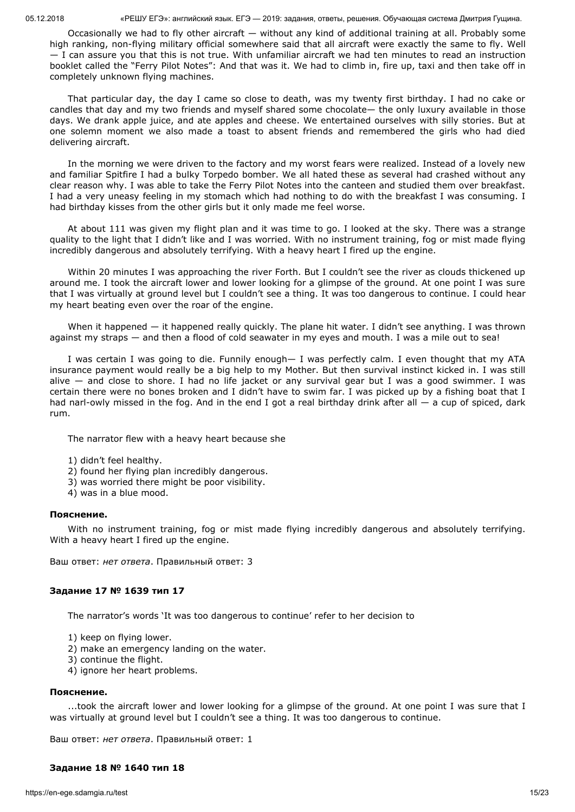Occasionally we had to fly other aircraft — without any kind of additional training at all. Probably some high ranking, non-flying military official somewhere said that all aircraft were exactly the same to fly. Well — I can assure you that this is not true. With unfamiliar aircraft we had ten minutes to read an instruction booklet called the "Ferry Pilot Notes": And that was it. We had to climb in, fire up, taxi and then take off in completely unknown flying machines.

That particular day, the day I came so close to death, was my twenty first birthday. I had no cake or candles that day and my two friends and myself shared some chocolate— the only luxury available in those days. We drank apple juice, and ate apples and cheese. We entertained ourselves with silly stories. But at one solemn moment we also made a toast to absent friends and remembered the girls who had died delivering aircraft.

In the morning we were driven to the factory and my worst fears were realized. Instead of a lovely new and familiar Spitfire I had a bulky Torpedo bomber. We all hated these as several had crashed without any clear reason why. I was able to take the Ferry Pilot Notes into the canteen and studied them over breakfast. I had a very uneasy feeling in my stomach which had nothing to do with the breakfast I was consuming. I had birthday kisses from the other girls but it only made me feel worse.

At about 111 was given my flight plan and it was time to go. I looked at the sky. There was a strange quality to the light that I didn't like and I was worried. With no instrument training, fog or mist made flying incredibly dangerous and absolutely terrifying. With a heavy heart I fired up the engine.

Within 20 minutes I was approaching the river Forth. But I couldn't see the river as clouds thickened up around me. I took the aircraft lower and lower looking for a glimpse of the ground. At one point I was sure that I was virtually at ground level but I couldn't see a thing. It was too dangerous to continue. I could hear my heart beating even over the roar of the engine.

When it happened — it happened really quickly. The plane hit water. I didn't see anything. I was thrown against my straps — and then a flood of cold seawater in my eyes and mouth. I was a mile out to sea!

I was certain I was going to die. Funnily enough— I was perfectly calm. I even thought that my ATA insurance payment would really be a big help to my Mother. But then survival instinct kicked in. I was still alive — and close to shore. I had no life jacket or any survival gear but I was a good swimmer. I was certain there were no bones broken and I didn't have to swim far. I was picked up by a fishing boat that I had narl-owly missed in the fog. And in the end I got a real birthday drink after all — a cup of spiced, dark rum.

The narrator flew with a heavy heart because she

- 1) didn't feel healthy.
- 2) found her flying plan incredibly dangerous.
- 3) was worried there might be poor visibility.
- 4) was in a blue mood.

#### **Пояснение.**

With no instrument training, fog or mist made flying incredibly dangerous and absolutely terrifying. With a heavy heart I fired up the engine.

Ваш ответ: *нет ответа*. Правильный ответ: 3

#### **Задание 17 № 1639 тип 17**

The narrator's words 'It was too dangerous to continue' refer to her decision to

- 1) keep on flying lower.
- 2) make an emergency landing on the water.
- 3) continue the flight.
- 4) ignore her heart problems.

#### **Пояснение.**

...took the aircraft lower and lower looking for a glimpse of the ground. At one point I was sure that I was virtually at ground level but I couldn't see a thing. It was too dangerous to continue.

Ваш ответ: *нет ответа*. Правильный ответ: 1

#### **Задание 18 № 1640 тип 18**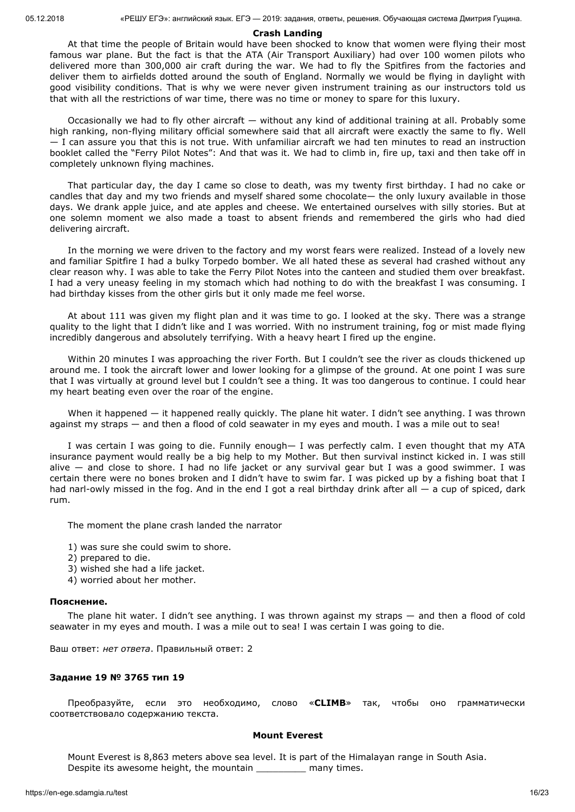#### **Crash Landing**

At that time the people of Britain would have been shocked to know that women were flying their most famous war plane. But the fact is that the ATA (Air Transport Auxiliary) had over 100 women pilots who delivered more than 300,000 air craft during the war. We had to fly the Spitfires from the factories and deliver them to airfields dotted around the south of England. Normally we would be flying in daylight with good visibility conditions. That is why we were never given instrument training as our instructors told us that with all the restrictions of war time, there was no time or money to spare for this luxury.

Occasionally we had to fly other aircraft — without any kind of additional training at all. Probably some high ranking, non-flying military official somewhere said that all aircraft were exactly the same to fly. Well — I can assure you that this is not true. With unfamiliar aircraft we had ten minutes to read an instruction booklet called the "Ferry Pilot Notes": And that was it. We had to climb in, fire up, taxi and then take off in completely unknown flying machines.

That particular day, the day I came so close to death, was my twenty first birthday. I had no cake or candles that day and my two friends and myself shared some chocolate— the only luxury available in those days. We drank apple juice, and ate apples and cheese. We entertained ourselves with silly stories. But at one solemn moment we also made a toast to absent friends and remembered the girls who had died delivering aircraft.

In the morning we were driven to the factory and my worst fears were realized. Instead of a lovely new and familiar Spitfire I had a bulky Torpedo bomber. We all hated these as several had crashed without any clear reason why. I was able to take the Ferry Pilot Notes into the canteen and studied them over breakfast. I had a very uneasy feeling in my stomach which had nothing to do with the breakfast I was consuming. I had birthday kisses from the other girls but it only made me feel worse.

At about 111 was given my flight plan and it was time to go. I looked at the sky. There was a strange quality to the light that I didn't like and I was worried. With no instrument training, fog or mist made flying incredibly dangerous and absolutely terrifying. With a heavy heart I fired up the engine.

Within 20 minutes I was approaching the river Forth. But I couldn't see the river as clouds thickened up around me. I took the aircraft lower and lower looking for a glimpse of the ground. At one point I was sure that I was virtually at ground level but I couldn't see a thing. It was too dangerous to continue. I could hear my heart beating even over the roar of the engine.

When it happened — it happened really quickly. The plane hit water. I didn't see anything. I was thrown against my straps — and then a flood of cold seawater in my eyes and mouth. I was a mile out to sea!

I was certain I was going to die. Funnily enough— I was perfectly calm. I even thought that my ATA insurance payment would really be a big help to my Mother. But then survival instinct kicked in. I was still alive — and close to shore. I had no life jacket or any survival gear but I was a good swimmer. I was certain there were no bones broken and I didn't have to swim far. I was picked up by a fishing boat that I had narl-owly missed in the fog. And in the end I got a real birthday drink after all — a cup of spiced, dark rum.

The moment the plane crash landed the narrator

1) was sure she could swim to shore.

- 2) prepared to die.
- 3) wished she had a life jacket.
- 4) worried about her mother.

#### **Пояснение.**

The plane hit water. I didn't see anything. I was thrown against my straps — and then a flood of cold seawater in my eyes and mouth. I was a mile out to sea! I was certain I was going to die.

Ваш ответ: *нет ответа*. Правильный ответ: 2

#### **Задание 19 № 3765 тип 19**

Преобразуйте, если это необходимо, слово «**CLIMB**» так, чтобы оно грамматически соответствовало содержанию текста.

#### **Mount Everest**

Mount Everest is 8,863 meters above sea level. It is part of the Himalayan range in South Asia. Despite its awesome height, the mountain \_\_\_\_\_\_\_\_\_\_ many times.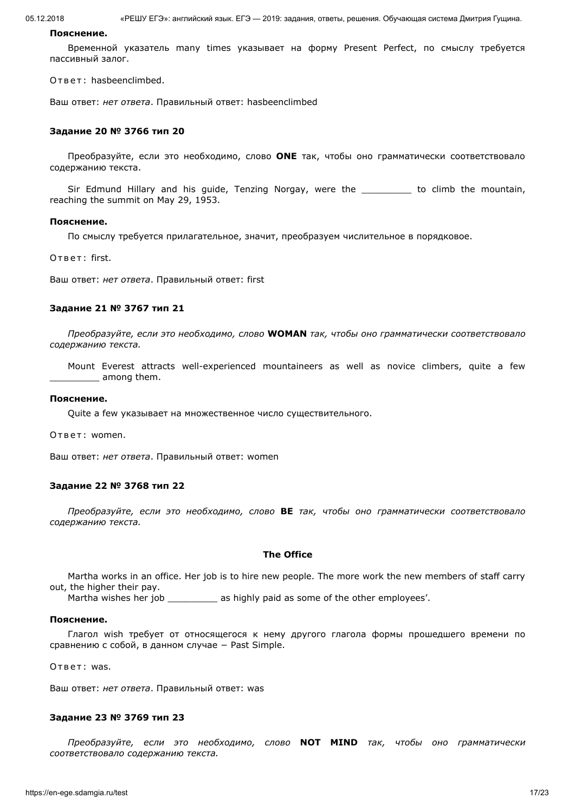#### **Пояснение.**

Временной указатель many times указывает на форму Present Perfect, по смыслу требуется пассивный залог.

Ответ: hasbeenclimbed.

Ваш ответ: *нет ответа*. Правильный ответ: hasbeenclimbed

#### **Задание 20 № 3766 тип 20**

Преобразуйте, если это необходимо, слово **ONE** так, чтобы оно грамматически соответствовало содержанию текста.

Sir Edmund Hillary and his guide, Tenzing Norgay, were the \_\_\_\_\_\_\_\_\_ to climb the mountain, reaching the summit on May 29, 1953.

#### **Пояснение.**

По смыслу требуется прилагательное, значит, преобразуем числительное в порядковое.

Ответ: first.

Ваш ответ: *нет ответа*. Правильный ответ: first

#### **Задание 21 № 3767 тип 21**

*Преобразуйте, если это необходимо, слово* **WOMAN** *так, чтобы оно грамматически соответствовало содержанию текста.*

Mount Everest attracts well-experienced mountaineers as well as novice climbers, quite a few \_\_\_\_\_\_\_\_\_ among them.

# **Пояснение.**

Quite a few указывает на множественное число существительного.

Ответ: women.

Ваш ответ: *нет ответа*. Правильный ответ: women

#### **Задание 22 № 3768 тип 22**

*Преобразуйте, если это необходимо, слово* **BE** *так, чтобы оно грамматически соответствовало содержанию текста.*

#### **The Office**

Martha works in an office. Her job is to hire new people. The more work the new members of staff carry out, the higher their pay.

Martha wishes her job \_\_\_\_\_\_\_\_\_ as highly paid as some of the other employees'.

#### **Пояснение.**

Глагол wish требует от относящегося к нему другого глагола формы прошедшего времени по сравнению с собой, в данном случае - Past Simple.

 $O$  TRAT: WAS.

Ваш ответ: *нет ответа*. Правильный ответ: was

#### **Задание 23 № 3769 тип 23**

*Преобразуйте, если это необходимо, слово* **NOT MIND** *так, чтобы оно грамматически соответствовало содержанию текста.*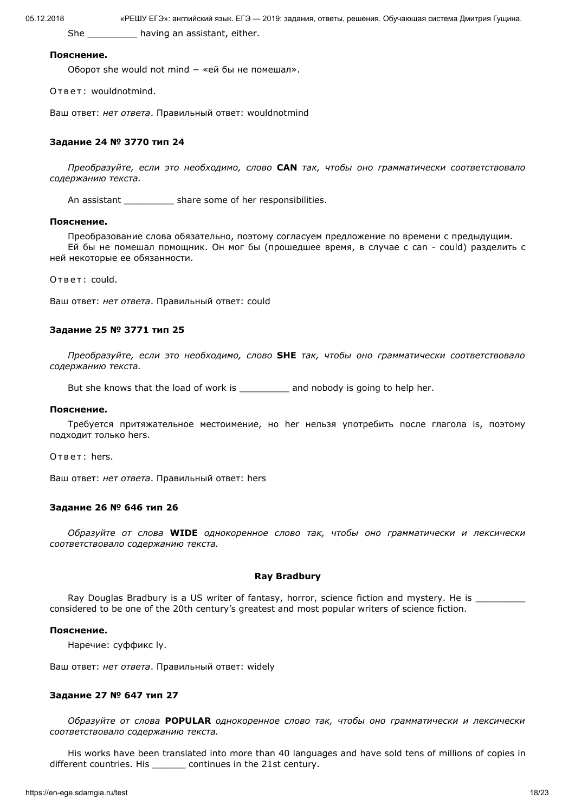She \_\_\_\_\_\_\_\_\_ having an assistant, either.

#### **Пояснение.**

Оборот she would not mind − «ей бы не помешал».

О т в е т: wouldnotmind.

Ваш ответ: *нет ответа*. Правильный ответ: wouldnotmind

## **Задание 24 № 3770 тип 24**

*Преобразуйте, если это необходимо, слово* **CAN** *так, чтобы оно грамматически соответствовало содержанию текста.*

An assistant entity share some of her responsibilities.

#### **Пояснение.**

Преобразование слова обязательно, поэтому согласуем предложение по времени с предыдущим. Ей бы не помешал помощник. Он мог бы (прошедшее время, в случае с can - could) разделить с ней некоторые ее обязанности.

Ответ: could.

Ваш ответ: *нет ответа*. Правильный ответ: could

#### **Задание 25 № 3771 тип 25**

*Преобразуйте, если это необходимо, слово* **SHE** *так, чтобы оно грамматически соответствовало содержанию текста.*

But she knows that the load of work is \_\_\_\_\_\_\_\_\_ and nobody is going to help her.

#### **Пояснение.**

Требуется притяжательное местоимение, но her нельзя употребить после глагола is, поэтому подходит только hers.

Ответ: hers.

Ваш ответ: *нет ответа*. Правильный ответ: hers

#### **Задание 26 № 646 тип 26**

*Образуйте от слова* **WIDE** *однокоренное слово так, чтобы оно грамматически и лексически соответствовало содержанию текста.*

# **Ray Bradbury**

Ray Douglas Bradbury is a US writer of fantasy, horror, science fiction and mystery. He is considered to be one of the 20th century's greatest and most popular writers of science fiction.

#### **Пояснение.**

Наречие: суффикс ly.

Ваш ответ: *нет ответа*. Правильный ответ: widely

#### **Задание 27 № 647 тип 27**

*Образуйте от слова* **POPULAR** *однокоренное слово так, чтобы оно грамматически и лексически соответствовало содержанию текста.*

His works have been translated into more than 40 languages and have sold tens of millions of copies in different countries. His \_\_\_\_\_\_ continues in the 21st century.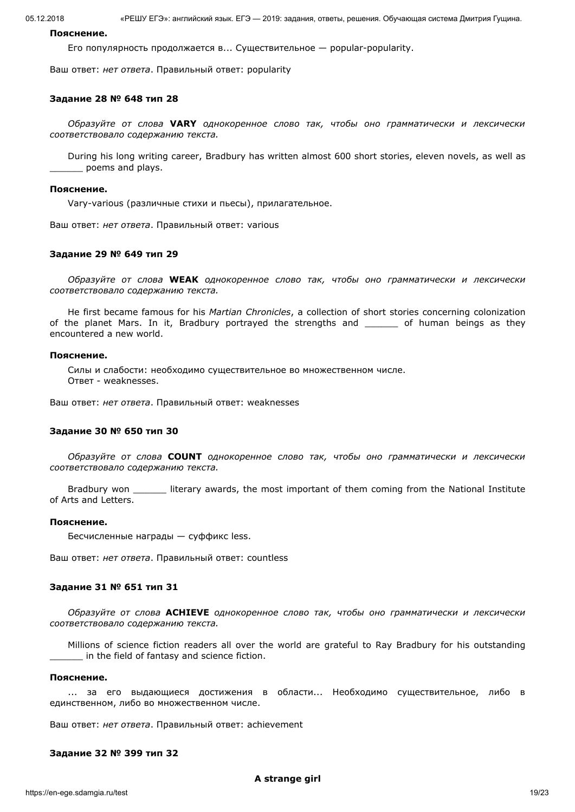#### **Пояснение.**

Его популярность продолжается в... Существительное — popular-popularity.

Ваш ответ: *нет ответа*. Правильный ответ: popularity

#### **Задание 28 № 648 тип 28**

*Образуйте от слова* **VARY** *однокоренное слово так, чтобы оно грамматически и лексически соответствовало содержанию текста.*

During his long writing career, Bradbury has written almost 600 short stories, eleven novels, as well as poems and plays.

#### **Пояснение.**

Vary-various (различные стихи и пьесы), прилагательное.

Ваш ответ: *нет ответа*. Правильный ответ: various

#### **Задание 29 № 649 тип 29**

*Образуйте от слова* **WEAK** *однокоренное слово так, чтобы оно грамматически и лексически соответствовало содержанию текста.*

He first became famous for his *Martian Chronicles*, a collection of short stories concerning colonization of the planet Mars. In it, Bradbury portrayed the strengths and \_\_\_\_\_\_ of human beings as they encountered a new world.

### **Пояснение.**

Силы и слабости: необходимо существительное во множественном числе. Ответ - weaknesses.

Ваш ответ: *нет ответа*. Правильный ответ: weaknesses

#### **Задание 30 № 650 тип 30**

*Образуйте от слова* **COUNT** *однокоренное слово так, чтобы оно грамматически и лексически соответствовало содержанию текста.*

Bradbury won \_\_\_\_\_\_\_\_ literary awards, the most important of them coming from the National Institute of Arts and Letters.

#### **Пояснение.**

Бесчисленные награды — суффикс less.

Ваш ответ: *нет ответа*. Правильный ответ: countless

#### **Задание 31 № 651 тип 31**

*Образуйте от слова* **ACHIEVE** *однокоренное слово так, чтобы оно грамматически и лексически соответствовало содержанию текста.*

Millions of science fiction readers all over the world are grateful to Ray Bradbury for his outstanding in the field of fantasy and science fiction.

#### **Пояснение.**

... за его выдающиеся достижения в области... Необходимо существительное, либо в единственном, либо во множественном числе.

Ваш ответ: *нет ответа*. Правильный ответ: achievement

#### **Задание 32 № 399 тип 32**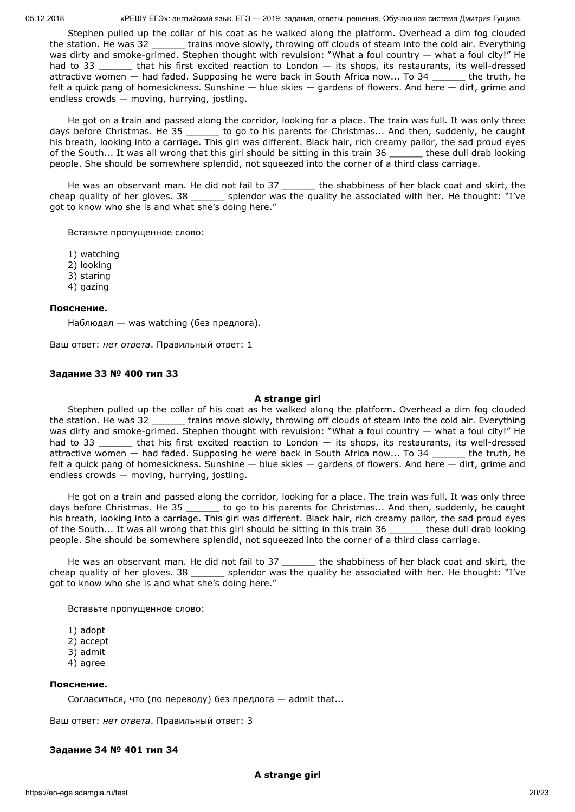Stephen pulled up the collar of his coat as he walked along the platform. Overhead a dim fog clouded the station. He was 32 \_\_\_\_\_\_ trains move slowly, throwing off clouds of steam into the cold air. Everything was dirty and smoke-grimed. Stephen thought with revulsion: "What a foul country — what a foul city!" He had to 33 \_\_\_\_\_\_ that his first excited reaction to London — its shops, its restaurants, its well-dressed attractive women — had faded. Supposing he were back in South Africa now... To 34 \_\_\_\_\_\_ the truth, he felt a quick pang of homesickness. Sunshine — blue skies — gardens of flowers. And here — dirt, grime and endless crowds — moving, hurrying, jostling.

He got on a train and passed along the corridor, looking for a place. The train was full. It was only three days before Christmas. He 35 \_\_\_\_\_\_\_ to go to his parents for Christmas... And then, suddenly, he caught his breath, looking into a carriage. This girl was different. Black hair, rich creamy pallor, the sad proud eyes of the South... It was all wrong that this girl should be sitting in this train 36 \_\_\_\_\_\_ these dull drab looking people. She should be somewhere splendid, not squeezed into the corner of a third class carriage.

He was an observant man. He did not fail to 37 the shabbiness of her black coat and skirt, the cheap quality of her gloves. 38 \_\_\_\_\_\_ splendor was the quality he associated with her. He thought: "I've got to know who she is and what she's doing here."

Вставьте пропущенное слово:

1) watching

2) looking

3) staring

4) gazing

#### **Пояснение.**

Наблюдал — was watching (без предлога).

Ваш ответ: *нет ответа*. Правильный ответ: 1

#### **Задание 33 № 400 тип 33**

#### **A strange girl**

Stephen pulled up the collar of his coat as he walked along the platform. Overhead a dim fog clouded the station. He was 32 \_\_\_\_\_\_ trains move slowly, throwing off clouds of steam into the cold air. Everything was dirty and smoke-grimed. Stephen thought with revulsion: "What a foul country  $-$  what a foul city!" He had to 33 \_\_\_\_\_\_\_ that his first excited reaction to London — its shops, its restaurants, its well-dressed attractive women - had faded. Supposing he were back in South Africa now... To 34 \_\_\_\_\_\_ the truth, he felt a quick pang of homesickness. Sunshine — blue skies — gardens of flowers. And here — dirt, grime and endless crowds — moving, hurrying, jostling.

He got on a train and passed along the corridor, looking for a place. The train was full. It was only three days before Christmas. He 35 to go to his parents for Christmas... And then, suddenly, he caught his breath, looking into a carriage. This girl was different. Black hair, rich creamy pallor, the sad proud eyes of the South... It was all wrong that this girl should be sitting in this train 36 \_\_\_\_\_\_\_ these dull drab looking people. She should be somewhere splendid, not squeezed into the corner of a third class carriage.

He was an observant man. He did not fail to 37 the shabbiness of her black coat and skirt, the cheap quality of her gloves. 38 \_\_\_\_\_\_ splendor was the quality he associated with her. He thought: "I've got to know who she is and what she's doing here."

Вставьте пропущенное слово:

1) adopt

2) accept

3) admit

4) agree

#### **Пояснение.**

Cогласиться, что (по переводу) без предлога — admit that...

Ваш ответ: *нет ответа*. Правильный ответ: 3

#### **Задание 34 № 401 тип 34**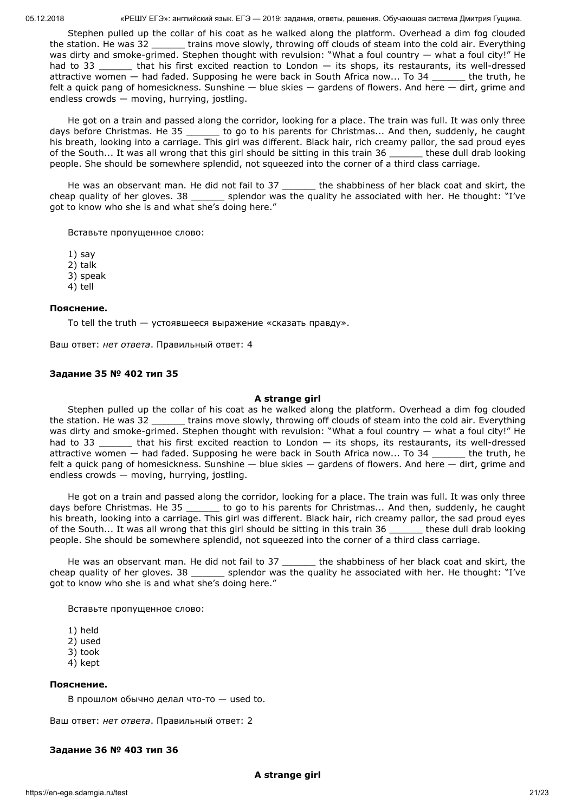Stephen pulled up the collar of his coat as he walked along the platform. Overhead a dim fog clouded the station. He was 32 \_\_\_\_\_\_ trains move slowly, throwing off clouds of steam into the cold air. Everything was dirty and smoke-grimed. Stephen thought with revulsion: "What a foul country — what a foul city!" He had to 33 \_\_\_\_\_\_ that his first excited reaction to London — its shops, its restaurants, its well-dressed attractive women — had faded. Supposing he were back in South Africa now... To 34 \_\_\_\_\_\_ the truth, he felt a quick pang of homesickness. Sunshine — blue skies — gardens of flowers. And here — dirt, grime and endless crowds — moving, hurrying, jostling.

He got on a train and passed along the corridor, looking for a place. The train was full. It was only three days before Christmas. He 35 \_\_\_\_\_\_\_ to go to his parents for Christmas... And then, suddenly, he caught his breath, looking into a carriage. This girl was different. Black hair, rich creamy pallor, the sad proud eyes of the South... It was all wrong that this girl should be sitting in this train 36 \_\_\_\_\_\_ these dull drab looking people. She should be somewhere splendid, not squeezed into the corner of a third class carriage.

He was an observant man. He did not fail to 37 the shabbiness of her black coat and skirt, the cheap quality of her gloves. 38 \_\_\_\_\_\_ splendor was the quality he associated with her. He thought: "I've got to know who she is and what she's doing here."

Вставьте пропущенное слово:

1) say

2) talk

3) speak

4) tell

#### **Пояснение.**

To tell the truth  $-$  устоявшееся выражение «сказать правду».

Ваш ответ: *нет ответа*. Правильный ответ: 4

#### **Задание 35 № 402 тип 35**

#### **A strange girl**

Stephen pulled up the collar of his coat as he walked along the platform. Overhead a dim fog clouded the station. He was 32 \_\_\_\_\_\_ trains move slowly, throwing off clouds of steam into the cold air. Everything was dirty and smoke-grimed. Stephen thought with revulsion: "What a foul country - what a foul city!" He had to 33 \_\_\_\_\_\_\_ that his first excited reaction to London — its shops, its restaurants, its well-dressed attractive women - had faded. Supposing he were back in South Africa now... To 34 \_\_\_\_\_\_ the truth, he felt a quick pang of homesickness. Sunshine — blue skies — gardens of flowers. And here — dirt, grime and endless crowds — moving, hurrying, jostling.

He got on a train and passed along the corridor, looking for a place. The train was full. It was only three days before Christmas. He 35 to go to his parents for Christmas... And then, suddenly, he caught his breath, looking into a carriage. This girl was different. Black hair, rich creamy pallor, the sad proud eyes of the South... It was all wrong that this girl should be sitting in this train 36 \_\_\_\_\_\_\_ these dull drab looking people. She should be somewhere splendid, not squeezed into the corner of a third class carriage.

He was an observant man. He did not fail to 37 the shabbiness of her black coat and skirt, the cheap quality of her gloves. 38 \_\_\_\_\_\_ splendor was the quality he associated with her. He thought: "I've got to know who she is and what she's doing here."

Вставьте пропущенное слово:

1) held

2) used

3) took

4) kept

#### **Пояснение.**

В прошлом обычно делал что-то — used to.

Ваш ответ: *нет ответа*. Правильный ответ: 2

#### **Задание 36 № 403 тип 36**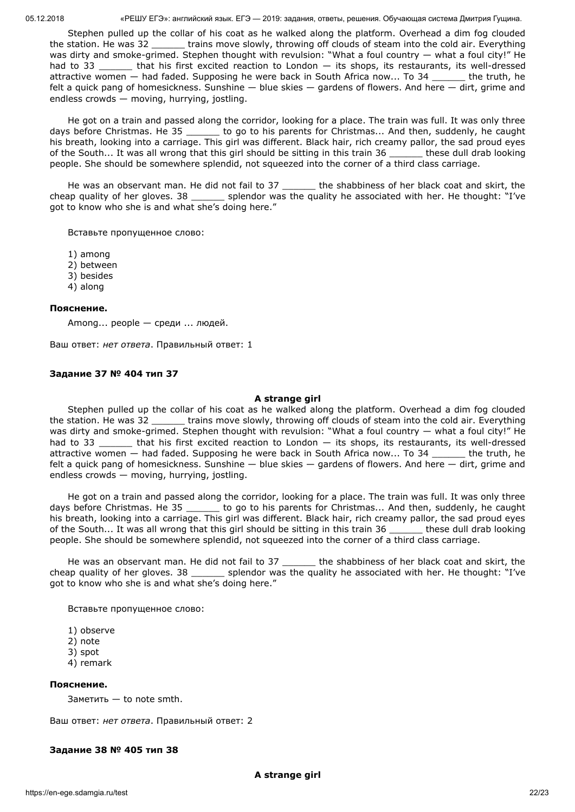Stephen pulled up the collar of his coat as he walked along the platform. Overhead a dim fog clouded the station. He was 32 \_\_\_\_\_\_ trains move slowly, throwing off clouds of steam into the cold air. Everything was dirty and smoke-grimed. Stephen thought with revulsion: "What a foul country — what a foul city!" He had to 33 \_\_\_\_\_\_ that his first excited reaction to London — its shops, its restaurants, its well-dressed attractive women — had faded. Supposing he were back in South Africa now... To 34 \_\_\_\_\_\_ the truth, he felt a quick pang of homesickness. Sunshine — blue skies — gardens of flowers. And here — dirt, grime and endless crowds — moving, hurrying, jostling.

He got on a train and passed along the corridor, looking for a place. The train was full. It was only three days before Christmas. He 35 \_\_\_\_\_\_\_ to go to his parents for Christmas... And then, suddenly, he caught his breath, looking into a carriage. This girl was different. Black hair, rich creamy pallor, the sad proud eyes of the South... It was all wrong that this girl should be sitting in this train 36 \_\_\_\_\_\_ these dull drab looking people. She should be somewhere splendid, not squeezed into the corner of a third class carriage.

He was an observant man. He did not fail to 37 the shabbiness of her black coat and skirt, the cheap quality of her gloves. 38 \_\_\_\_\_\_ splendor was the quality he associated with her. He thought: "I've got to know who she is and what she's doing here."

Вставьте пропущенное слово:

1) among

2) between

3) besides

4) along

#### **Пояснение.**

Among... people — среди ... людей.

Ваш ответ: *нет ответа*. Правильный ответ: 1

#### **Задание 37 № 404 тип 37**

#### **A strange girl**

Stephen pulled up the collar of his coat as he walked along the platform. Overhead a dim fog clouded the station. He was 32 \_\_\_\_\_\_ trains move slowly, throwing off clouds of steam into the cold air. Everything was dirty and smoke-grimed. Stephen thought with revulsion: "What a foul country - what a foul city!" He had to 33 \_\_\_\_\_\_\_ that his first excited reaction to London — its shops, its restaurants, its well-dressed attractive women - had faded. Supposing he were back in South Africa now... To 34 \_\_\_\_\_\_ the truth, he felt a quick pang of homesickness. Sunshine — blue skies — gardens of flowers. And here — dirt, grime and endless crowds — moving, hurrying, jostling.

He got on a train and passed along the corridor, looking for a place. The train was full. It was only three days before Christmas. He 35 to go to his parents for Christmas... And then, suddenly, he caught his breath, looking into a carriage. This girl was different. Black hair, rich creamy pallor, the sad proud eyes of the South... It was all wrong that this girl should be sitting in this train 36 \_\_\_\_\_\_\_ these dull drab looking people. She should be somewhere splendid, not squeezed into the corner of a third class carriage.

He was an observant man. He did not fail to 37 the shabbiness of her black coat and skirt, the cheap quality of her gloves. 38 \_\_\_\_\_\_ splendor was the quality he associated with her. He thought: "I've got to know who she is and what she's doing here."

Вставьте пропущенное слово:

1) observe

2) note

3) spot

4) remark

#### **Пояснение.**

 $3a$ метить  $-$  to note smth.

Ваш ответ: *нет ответа*. Правильный ответ: 2

#### **Задание 38 № 405 тип 38**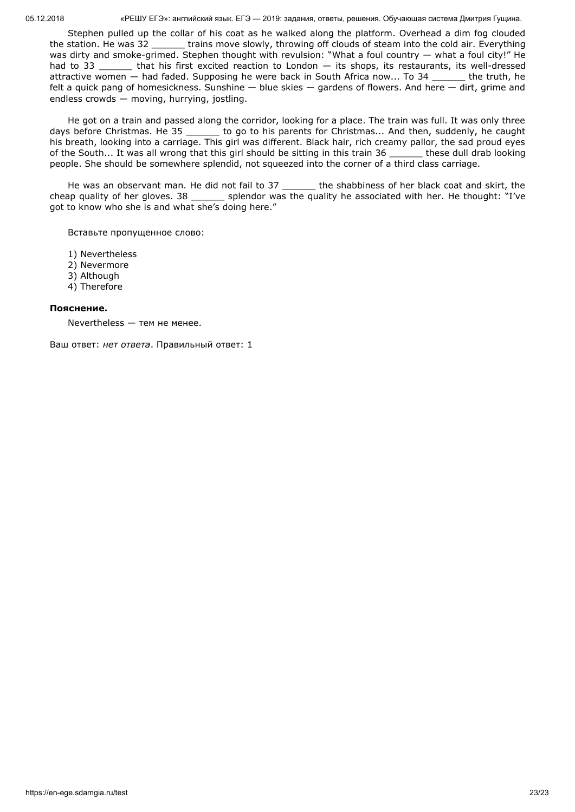Stephen pulled up the collar of his coat as he walked along the platform. Overhead a dim fog clouded the station. He was 32 \_\_\_\_\_\_ trains move slowly, throwing off clouds of steam into the cold air. Everything was dirty and smoke-grimed. Stephen thought with revulsion: "What a foul country — what a foul city!" He had to 33 \_\_\_\_\_\_ that his first excited reaction to London - its shops, its restaurants, its well-dressed attractive women — had faded. Supposing he were back in South Africa now... To 34 \_\_\_\_\_\_ the truth, he felt a quick pang of homesickness. Sunshine — blue skies — gardens of flowers. And here — dirt, grime and endless crowds — moving, hurrying, jostling.

He got on a train and passed along the corridor, looking for a place. The train was full. It was only three days before Christmas. He 35 \_\_\_\_\_\_ to go to his parents for Christmas... And then, suddenly, he caught his breath, looking into a carriage. This girl was different. Black hair, rich creamy pallor, the sad proud eyes of the South... It was all wrong that this girl should be sitting in this train 36 \_\_\_\_\_\_ these dull drab looking people. She should be somewhere splendid, not squeezed into the corner of a third class carriage.

He was an observant man. He did not fail to 37 \_\_\_\_\_\_ the shabbiness of her black coat and skirt, the cheap quality of her gloves. 38 \_\_\_\_\_\_ splendor was the quality he associated with her. He thought: "I've got to know who she is and what she's doing here."

Вставьте пропущенное слово:

- 1) Nevertheless
- 2) Nevermore
- 3) Although
- 4) Therefore

#### **Пояснение.**

Nevertheless — тем не менее.

Ваш ответ: *нет ответа*. Правильный ответ: 1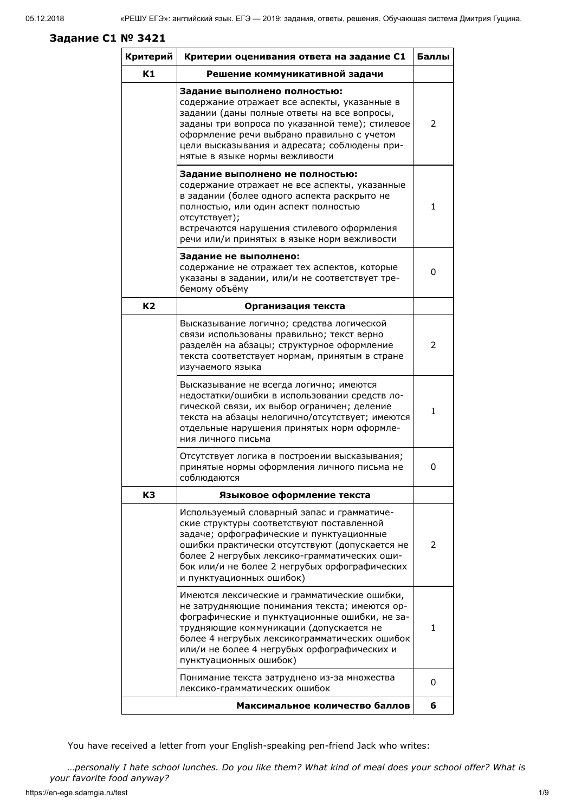# **Задание С1 № 3421**

| Критерий | Критерии оценивания ответа на задание С1                                                                                                                                                                                                                                                                            | Баллы |
|----------|---------------------------------------------------------------------------------------------------------------------------------------------------------------------------------------------------------------------------------------------------------------------------------------------------------------------|-------|
| K1       | Решение коммуникативной задачи                                                                                                                                                                                                                                                                                      |       |
|          | Задание выполнено полностью:<br>содержание отражает все аспекты, указанные в<br>задании (даны полные ответы на все вопросы,<br>заданы три вопроса по указанной теме); стилевое<br>оформление речи выбрано правильно с учетом<br>цели высказывания и адресата; соблюдены при-<br>нятые в языке нормы вежливости      | 2     |
|          | Задание выполнено не полностью:<br>содержание отражает не все аспекты, указанные<br>в задании (более одного аспекта раскрыто не<br>полностью, или один аспект полностью<br>отсутствует);<br>встречаются нарушения стилевого оформления<br>речи или/и принятых в языке норм вежливости                               | 1     |
|          | Задание не выполнено:<br>содержание не отражает тех аспектов, которые<br>указаны в задании, или/и не соответствует тре-<br>бемому объёму                                                                                                                                                                            | 0     |
| K2       | Организация текста                                                                                                                                                                                                                                                                                                  |       |
|          | Высказывание логично; средства логической<br>связи использованы правильно; текст верно<br>разделён на абзацы; структурное оформление<br>текста соответствует нормам, принятым в стране<br>изучаемого языка                                                                                                          | 2     |
|          | Высказывание не всегда логично; имеются<br>недостатки/ошибки в использовании средств ло-<br>гической связи, их выбор ограничен; деление<br>текста на абзацы нелогично/отсутствует; имеются<br>отдельные нарушения принятых норм оформле-<br>ния личного письма                                                      | 1     |
|          | Отсутствует логика в построении высказывания;<br>принятые нормы оформления личного письма не<br>соблюдаются                                                                                                                                                                                                         | 0     |
| K3       | Языковое оформление текста                                                                                                                                                                                                                                                                                          |       |
|          | Используемый словарный запас и грамматиче-<br>ские структуры соответствуют поставленной<br>задаче; орфографические и пунктуационные<br>ошибки практически отсутствуют (допускается не<br>более 2 негрубых лексико-грамматических оши-<br>бок или/и не более 2 негрубых орфографических<br>и пунктуационных ошибок)  | 2     |
|          | Имеются лексические и грамматические ошибки,<br>не затрудняющие понимания текста; имеются ор-<br>фографические и пунктуационные ошибки, не за-<br>трудняющие коммуникации (допускается не<br>более 4 негрубых лексикограмматических ошибок<br>или/и не более 4 негрубых орфографических и<br>пунктуационных ошибок) | 1     |
|          | Понимание текста затруднено из-за множества<br>лексико-грамматических ошибок                                                                                                                                                                                                                                        | 0     |
|          | Максимальное количество баллов                                                                                                                                                                                                                                                                                      | 6     |

You have received a letter from your English-speaking pen-friend Jack who writes:

*…personally I hate school lunches. Do you like them? What kind of meal does your school offer? What is your favorite food anyway?*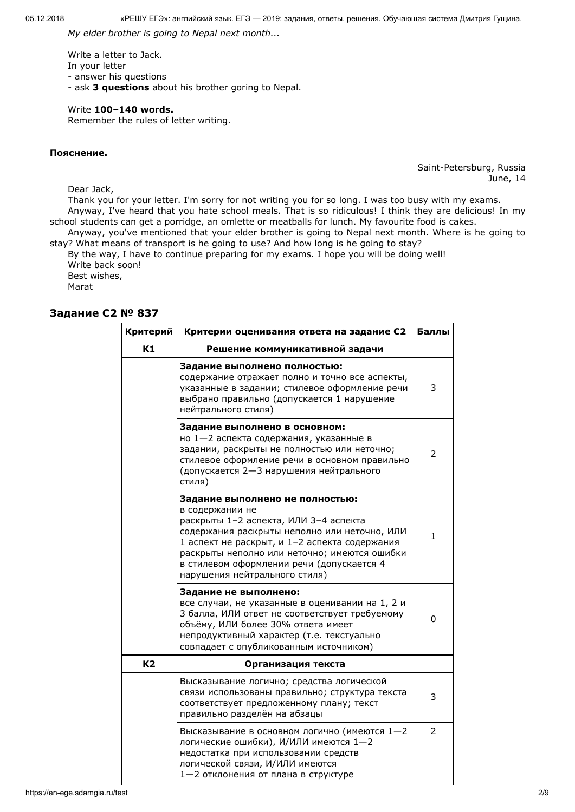*My elder brother is going to Nepal next month...*

Write a letter to Jack. In your letter - answer his questions - ask **3 questions** about his brother goring to Nepal.

Write **100–140 words.** Remember the rules of letter writing.

# **Пояснение.**

Saint-Petersburg, Russia June, 14

Dear Jack,

Thank you for your letter. I'm sorry for not writing you for so long. I was too busy with my exams. Anyway, I've heard that you hate school meals. That is so ridiculous! I think they are delicious! In my school students can get a porridge, an omlette or meatballs for lunch. My favourite food is cakes.

Anyway, you've mentioned that your elder brother is going to Nepal next month. Where is he going to stay? What means of transport is he going to use? And how long is he going to stay? By the way, I have to continue preparing for my exams. I hope you will be doing well!

Write back soon! Best wishes,

Marat

# **Задание С2 № 837**

| Критерий  | Критерии оценивания ответа на задание С2                                                                                                                                                                                                                                                                                   | Баллы          |
|-----------|----------------------------------------------------------------------------------------------------------------------------------------------------------------------------------------------------------------------------------------------------------------------------------------------------------------------------|----------------|
| K1        | Решение коммуникативной задачи                                                                                                                                                                                                                                                                                             |                |
|           | Задание выполнено полностью:<br>содержание отражает полно и точно все аспекты,<br>указанные в задании; стилевое оформление речи<br>выбрано правильно (допускается 1 нарушение<br>нейтрального стиля)                                                                                                                       | 3              |
|           | Задание выполнено в основном:<br>но 1-2 аспекта содержания, указанные в<br>задании, раскрыты не полностью или неточно;<br>стилевое оформление речи в основном правильно<br>(допускается 2-3 нарушения нейтрального<br>стиля)                                                                                               | 2              |
|           | Задание выполнено не полностью:<br>в содержании не<br>раскрыты 1-2 аспекта, ИЛИ 3-4 аспекта<br>содержания раскрыты неполно или неточно, ИЛИ<br>1 аспект не раскрыт, и 1-2 аспекта содержания<br>раскрыты неполно или неточно; имеются ошибки<br>в стилевом оформлении речи (допускается 4<br>нарушения нейтрального стиля) | 1              |
|           | Задание не выполнено:<br>все случаи, не указанные в оценивании на 1, 2 и<br>3 балла, ИЛИ ответ не соответствует требуемому<br>объёму, ИЛИ более 30% ответа имеет<br>непродуктивный характер (т.е. текстуально<br>совпадает с опубликованным источником)                                                                    | 0              |
| <b>K2</b> | Организация текста                                                                                                                                                                                                                                                                                                         |                |
|           | Высказывание логично; средства логической<br>связи использованы правильно; структура текста<br>соответствует предложенному плану; текст<br>правильно разделён на абзацы                                                                                                                                                    | 3              |
|           | Высказывание в основном логично (имеются 1-2<br>логические ошибки), И/ИЛИ имеются 1-2<br>недостатка при использовании средств<br>логической связи, И/ИЛИ имеются<br>1-2 отклонения от плана в структуре                                                                                                                    | $\overline{2}$ |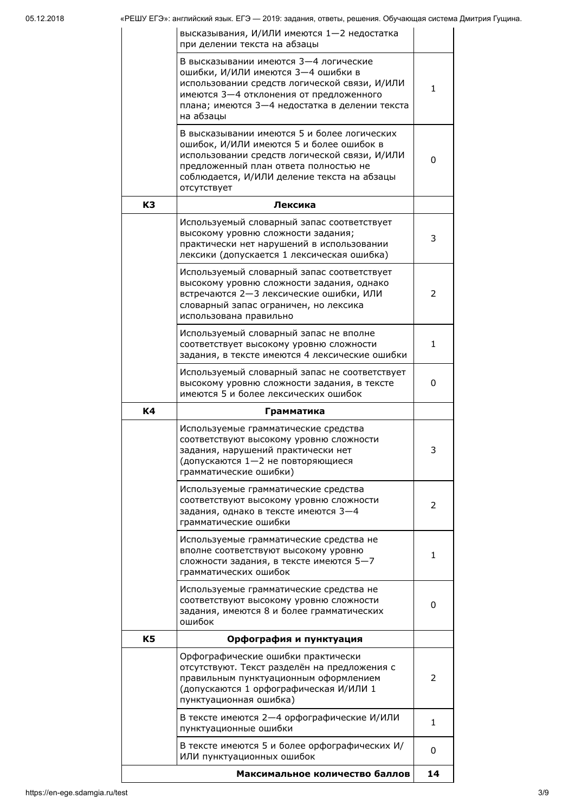|                | высказывания, И/ИЛИ имеются 1-2 недостатка<br>при делении текста на абзацы                                                                                                                                                                      |   |
|----------------|-------------------------------------------------------------------------------------------------------------------------------------------------------------------------------------------------------------------------------------------------|---|
|                | В высказывании имеются 3-4 логические<br>ошибки, И/ИЛИ имеются 3-4 ошибки в<br>использовании средств логической связи, И/ИЛИ<br>имеются 3-4 отклонения от предложенного<br>плана; имеются 3-4 недостатка в делении текста<br>на абзацы          | 1 |
|                | В высказывании имеются 5 и более логических<br>ошибок, И/ИЛИ имеются 5 и более ошибок в<br>использовании средств логической связи, И/ИЛИ<br>предложенный план ответа полностью не<br>соблюдается, И/ИЛИ деление текста на абзацы<br>отсутствует | 0 |
| K3             | Лексика                                                                                                                                                                                                                                         |   |
|                | Используемый словарный запас соответствует<br>высокому уровню сложности задания;<br>практически нет нарушений в использовании<br>лексики (допускается 1 лексическая ошибка)                                                                     | 3 |
|                | Используемый словарный запас соответствует<br>высокому уровню сложности задания, однако<br>встречаются 2-3 лексические ошибки, ИЛИ<br>словарный запас ограничен, но лексика<br>использована правильно                                           | 2 |
|                | Используемый словарный запас не вполне<br>соответствует высокому уровню сложности<br>задания, в тексте имеются 4 лексические ошибки                                                                                                             | 1 |
|                | Используемый словарный запас не соответствует<br>высокому уровню сложности задания, в тексте<br>имеются 5 и более лексических ошибок                                                                                                            | 0 |
|                |                                                                                                                                                                                                                                                 |   |
| <b>K4</b>      | Грамматика                                                                                                                                                                                                                                      |   |
|                | Используемые грамматические средства<br>соответствуют высокому уровню сложности<br>задания, нарушений практически нет<br>(допускаются 1-2 не повторяющиеся<br>грамматические ошибки)                                                            | 3 |
|                | Используемые грамматические средства<br>соответствуют высокому уровню сложности<br>задания, однако в тексте имеются 3-4<br>грамматические ошибки                                                                                                | 2 |
|                | Используемые грамматические средства не<br>вполне соответствуют высокому уровню<br>сложности задания, в тексте имеются 5-7<br>грамматических ошибок                                                                                             | 1 |
|                | Используемые грамматические средства не<br>соответствуют высокому уровню сложности<br>задания, имеются 8 и более грамматических<br>ошибок                                                                                                       | 0 |
| K <sub>5</sub> | Орфография и пунктуация                                                                                                                                                                                                                         |   |
|                | Орфографические ошибки практически<br>отсутствуют. Текст разделён на предложения с<br>правильным пунктуационным оформлением<br>(допускаются 1 орфографическая И/ИЛИ 1<br>пунктуационная ошибка)                                                 | 2 |
|                | В тексте имеются 2-4 орфографические И/ИЛИ<br>пунктуационные ошибки                                                                                                                                                                             | 1 |
|                | В тексте имеются 5 и более орфографических И/<br>ИЛИ пунктуационных ошибок                                                                                                                                                                      | 0 |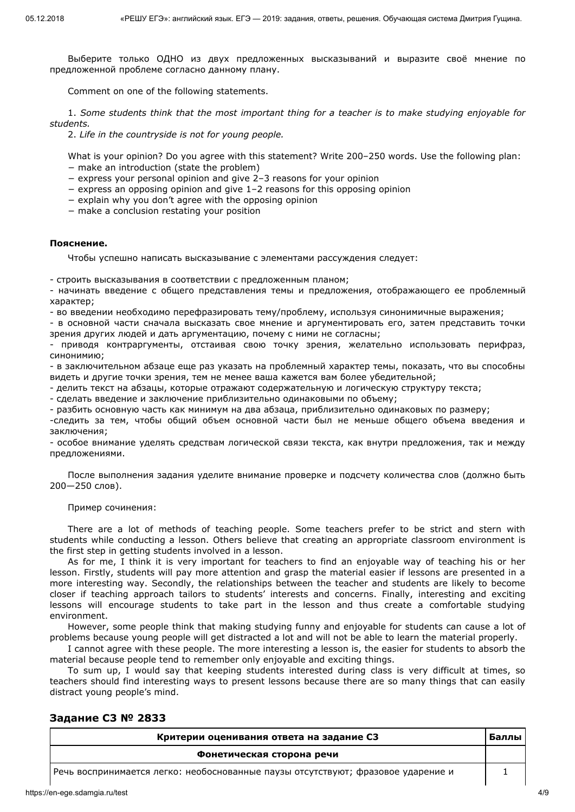Выберите только ОДНО из двух предложенных высказываний и выразите своё мнение по предложенной проблеме согласно данному плану.

Comment on one of the following statements.

1. *Some students think that the most important thing for a teacher is to make studying enjoyable for students.*

2. *Life in the countryside is not for young people.*

What is your opinion? Do you agree with this statement? Write 200–250 words. Use the following plan: − make an introduction (state the problem)

- − express your personal opinion and give 2–3 reasons for your opinion
- − express an opposing opinion and give 1–2 reasons for this opposing opinion
- − explain why you don't agree with the opposing opinion
- − make a conclusion restating your position

#### **Пояснение.**

Чтобы успешно написать высказывание с элементами рассуждения следует:

- строить высказывания в соответствии с предложенным планом;

- начинать введение с общего представления темы и предложения, отображающего ее проблемный характер;

- во введении необходимо перефразировать тему/проблему, используя синонимичные выражения;

- в основной части сначала высказать свое мнение и аргументировать его, затем представить точки зрения других людей и дать аргументацию, почему с ними не согласны;

- приводя контраргументы, отстаивая свою точку зрения, желательно использовать перифраз, синонимию;

- в заключительном абзаце еще раз указать на проблемный характер темы, показать, что вы способны видеть и другие точки зрения, тем не менее ваша кажется вам более убедительной;

- делить текст на абзацы, которые отражают содержательную и логическую структуру текста;

- сделать введение и заключение приблизительно одинаковыми по объему;

- разбить основную часть как минимум на два абзаца, приблизительно одинаковых по размеру;

-следить за тем, чтобы общий объем основной части был не меньше общего объема введения и заключения;

- особое внимание уделять средствам логической связи текста, как внутри предложения, так и между предложениями.

После выполнения задания уделите внимание проверке и подсчету количества слов (должно быть 200—250 слов).

#### Пример сочинения:

There are a lot of methods of teaching people. Some teachers prefer to be strict and stern with students while conducting a lesson. Others believe that creating an appropriate classroom environment is the first step in getting students involved in a lesson.

As for me, I think it is very important for teachers to find an enjoyable way of teaching his or her lesson. Firstly, students will pay more attention and grasp the material easier if lessons are presented in a more interesting way. Secondly, the relationships between the teacher and students are likely to become closer if teaching approach tailors to students' interests and concerns. Finally, interesting and exciting lessons will encourage students to take part in the lesson and thus create a comfortable studying environment.

However, some people think that making studying funny and enjoyable for students can cause a lot of problems because young people will get distracted a lot and will not be able to learn the material properly.

I cannot agree with these people. The more interesting a lesson is, the easier for students to absorb the material because people tend to remember only enjoyable and exciting things.

To sum up, I would say that keeping students interested during class is very difficult at times, so teachers should find interesting ways to present lessons because there are so many things that can easily distract young people's mind.

# **Задание С3 № 2833**

| Критерии оценивания ответа на задание СЗ                                         | Баллы |
|----------------------------------------------------------------------------------|-------|
| Фонетическая сторона речи                                                        |       |
| Речь воспринимается легко: необоснованные паузы отсутствуют; фразовое ударение и |       |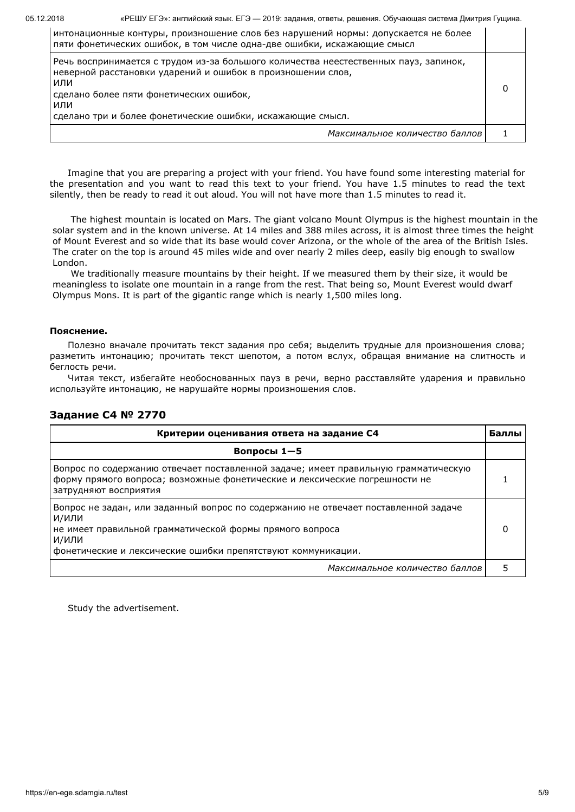| интонационные контуры, произношение слов без нарушений нормы: допускается не более<br>пяти фонетических ошибок, в том числе одна-две ошибки, искажающие смысл                                                                                                              |  |
|----------------------------------------------------------------------------------------------------------------------------------------------------------------------------------------------------------------------------------------------------------------------------|--|
| Речь воспринимается с трудом из-за большого количества неестественных пауз, запинок,<br>неверной расстановки ударений и ошибок в произношении слов,<br>или<br>сделано более пяти фонетических ошибок,<br>или<br>сделано три и более фонетические ошибки, искажающие смысл. |  |
| Максимальное количество баллов                                                                                                                                                                                                                                             |  |

Imagine that you are preparing a project with your friend. You have found some interesting material for the presentation and you want to read this text to your friend. You have 1.5 minutes to read the text silently, then be ready to read it out aloud. You will not have more than 1.5 minutes to read it.

The highest mountain is located on Mars. The giant volcano Mount Olympus is the highest mountain in the solar system and in the known universe. At 14 miles and 388 miles across, it is almost three times the height of Mount Everest and so wide that its base would cover Arizona, or the whole of the area of the British Isles. The crater on the top is around 45 miles wide and over nearly 2 miles deep, easily big enough to swallow London.

We traditionally measure mountains by their height. If we measured them by their size, it would be meaningless to isolate one mountain in a range from the rest. That being so, Mount Everest would dwarf Olympus Mons. It is part of the gigantic range which is nearly 1,500 miles long.

# **Пояснение.**

Полезно вначале прочитать текст задания про себя; выделить трудные для произношения слова; разметить интонацию; прочитать текст шепотом, а потом вслух, обращая внимание на слитность и беглость речи.

Читая текст, избегайте необоснованных пауз в речи, верно расставляйте ударения и правильно используйте интонацию, не нарушайте нормы произношения слов.

| Критерии оценивания ответа на задание С4                                                                                                                                                                                         | Баллы |
|----------------------------------------------------------------------------------------------------------------------------------------------------------------------------------------------------------------------------------|-------|
| Вопросы 1-5                                                                                                                                                                                                                      |       |
| Вопрос по содержанию отвечает поставленной задаче; имеет правильную грамматическую<br>форму прямого вопроса; возможные фонетические и лексические погрешности не<br>затрудняют восприятия                                        |       |
| Вопрос не задан, или заданный вопрос по содержанию не отвечает поставленной задаче<br>и/или<br>не имеет правильной грамматической формы прямого вопроса<br>и/или<br>фонетические и лексические ошибки препятствуют коммуникации. |       |
| Максимальное количество баллов                                                                                                                                                                                                   | 5     |

# **Задание С4 № 2770**

Study the advertisement.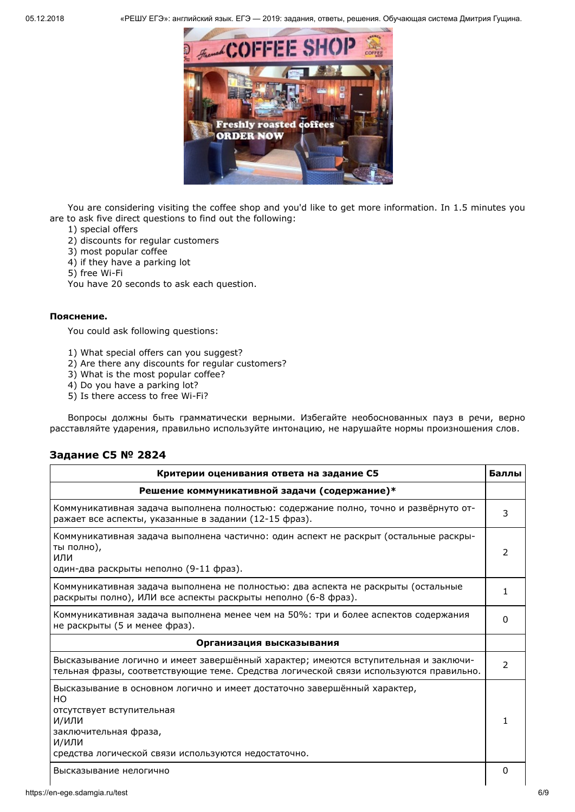

You are considering visiting the coffee shop and you'd like to get more information. In 1.5 minutes you are to ask five direct questions to find out the following:

1) special offers

2) discounts for regular customers

- 3) most popular coffee
- 4) if they have a parking lot
- 5) free Wi-Fi

You have 20 seconds to ask each question.

#### **Пояснение.**

You could ask following questions:

- 1) What special offers can you suggest?
- 2) Are there any discounts for regular customers?
- 3) What is the most popular coffee?
- 4) Do you have a parking lot?
- 5) Is there access to free Wi-Fi?

Вопросы должны быть грамматически верными. Избегайте необоснованных пауз в речи, верно расставляйте ударения, правильно используйте интонацию, не нарушайте нормы произношения слов.

# **Задание С5 № 2824**

| Критерии оценивания ответа на задание С5                                                                                                                                                                        | Баллы         |
|-----------------------------------------------------------------------------------------------------------------------------------------------------------------------------------------------------------------|---------------|
| Решение коммуникативной задачи (содержание)*                                                                                                                                                                    |               |
| Коммуникативная задача выполнена полностью: содержание полно, точно и развёрнуто от-<br>ражает все аспекты, указанные в задании (12-15 фраз).                                                                   | 3             |
| Коммуникативная задача выполнена частично: один аспект не раскрыт (остальные раскры-<br>ты полно),<br>или<br>один-два раскрыты неполно (9-11 фраз).                                                             | 2             |
| Коммуникативная задача выполнена не полностью: два аспекта не раскрыты (остальные<br>раскрыты полно), ИЛИ все аспекты раскрыты неполно (6-8 фраз).                                                              | 1             |
| Коммуникативная задача выполнена менее чем на 50%: три и более аспектов содержания<br>не раскрыты (5 и менее фраз).                                                                                             | $\Omega$      |
| Организация высказывания                                                                                                                                                                                        |               |
| Высказывание логично и имеет завершённый характер; имеются вступительная и заключи-<br>тельная фразы, соответствующие теме. Средства логической связи используются правильно.                                   | $\mathcal{P}$ |
| Высказывание в основном логично и имеет достаточно завершённый характер,<br>HO.<br>отсутствует вступительная<br>И/ИЛИ<br>заключительная фраза,<br>И/ИЛИ<br>средства логической связи используются недостаточно. | 1.            |
| Высказывание нелогично                                                                                                                                                                                          | 0             |

 $\mathbf l$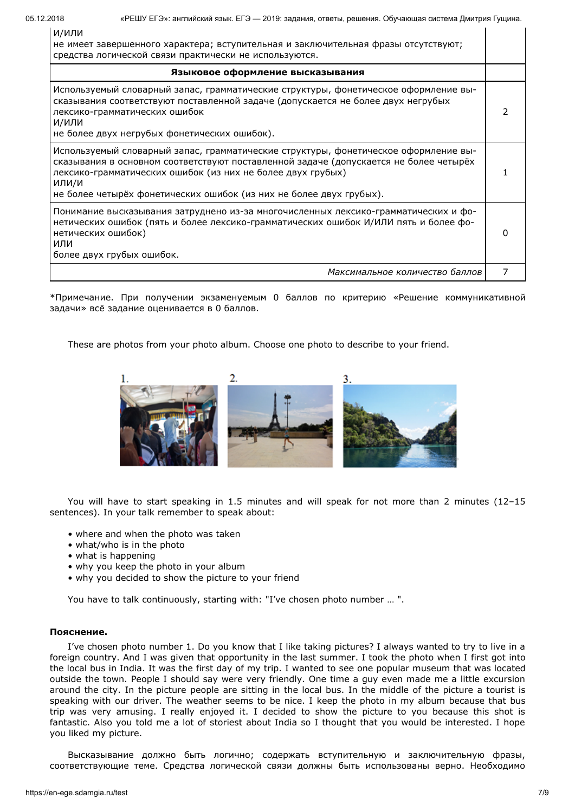| И/ИЛИ<br>не имеет завершенного характера; вступительная и заключительная фразы отсутствуют;<br>средства логической связи практически не используются.                                                                                                                                                                       |  |
|-----------------------------------------------------------------------------------------------------------------------------------------------------------------------------------------------------------------------------------------------------------------------------------------------------------------------------|--|
| Языковое оформление высказывания                                                                                                                                                                                                                                                                                            |  |
| Используемый словарный запас, грамматические структуры, фонетическое оформление вы-<br>сказывания соответствуют поставленной задаче (допускается не более двух негрубых<br>лексико-грамматических ошибок<br>И/ИЛИ<br>не более двух негрубых фонетических ошибок).                                                           |  |
| Используемый словарный запас, грамматические структуры, фонетическое оформление вы-<br>сказывания в основном соответствуют поставленной задаче (допускается не более четырёх<br>лексико-грамматических ошибок (из них не более двух грубых)<br>ИЛИ/И<br>не более четырёх фонетических ошибок (из них не более двух грубых). |  |
| Понимание высказывания затруднено из-за многочисленных лексико-грамматических и фо-<br>нетических ошибок (пять и более лексико-грамматических ошибок И/ИЛИ пять и более фо-<br>нетических ошибок)<br>или<br>более двух грубых ошибок.                                                                                       |  |
| Максимальное количество баллов                                                                                                                                                                                                                                                                                              |  |

 $*$ Примечание. При получении экзаменуемым 0 баллов по критерию «Решение коммуникативной задачи» всё задание оценивается в 0 баллов.

These are photos from your photo album. Choose one photo to describe to your friend.



You will have to start speaking in 1.5 minutes and will speak for not more than 2 minutes (12–15 sentences). In your talk remember to speak about:

- where and when the photo was taken
- what/who is in the photo
- what is happening
- why you keep the photo in your album
- why you decided to show the picture to your friend

You have to talk continuously, starting with: "I've chosen photo number … ".

## **Пояснение.**

I've chosen photo number 1. Do you know that I like taking pictures? I always wanted to try to live in a foreign country. And I was given that opportunity in the last summer. I took the photo when I first got into the local bus in India. It was the first day of my trip. I wanted to see one popular museum that was located outside the town. People I should say were very friendly. One time a guy even made me a little excursion around the city. In the picture people are sitting in the local bus. In the middle of the picture a tourist is speaking with our driver. The weather seems to be nice. I keep the photo in my album because that bus trip was very amusing. I really enjoyed it. I decided to show the picture to you because this shot is fantastic. Also you told me a lot of storiest about India so I thought that you would be interested. I hope you liked my picture.

Высказывание должно быть логично; содержать вступительную и заключительную фразы, соответствующие теме. Средства логической связи должны быть использованы верно. Необходимо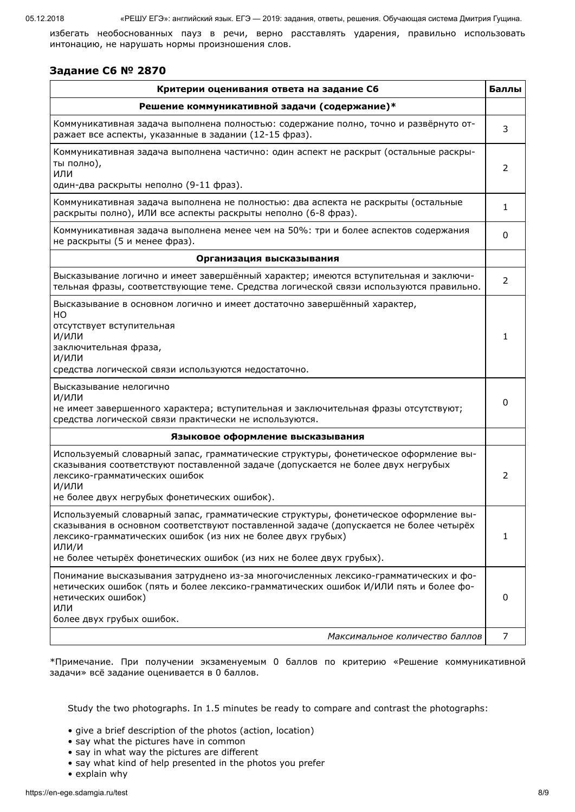избегать необоснованных пауз в речи, верно расставлять ударения, правильно использовать интонацию, не нарушать нормы произношения слов.

# **Задание С6 № 2870**

| Критерии оценивания ответа на задание Сб                                                                                                                                                                                                                                                                                    | Баллы          |
|-----------------------------------------------------------------------------------------------------------------------------------------------------------------------------------------------------------------------------------------------------------------------------------------------------------------------------|----------------|
| Решение коммуникативной задачи (содержание)*                                                                                                                                                                                                                                                                                |                |
| Коммуникативная задача выполнена полностью: содержание полно, точно и развёрнуто от-<br>ражает все аспекты, указанные в задании (12-15 фраз).                                                                                                                                                                               | 3              |
| Коммуникативная задача выполнена частично: один аспект не раскрыт (остальные раскры-<br>ты полно),<br>или<br>один-два раскрыты неполно (9-11 фраз).                                                                                                                                                                         | 2              |
| Коммуникативная задача выполнена не полностью: два аспекта не раскрыты (остальные<br>раскрыты полно), ИЛИ все аспекты раскрыты неполно (6-8 фраз).                                                                                                                                                                          | 1              |
| Коммуникативная задача выполнена менее чем на 50%: три и более аспектов содержания<br>не раскрыты (5 и менее фраз).                                                                                                                                                                                                         | 0              |
| Организация высказывания                                                                                                                                                                                                                                                                                                    |                |
| Высказывание логично и имеет завершённый характер; имеются вступительная и заключи-<br>тельная фразы, соответствующие теме. Средства логической связи используются правильно.                                                                                                                                               | 2              |
| Высказывание в основном логично и имеет достаточно завершённый характер,<br>H <sub>O</sub><br>отсутствует вступительная<br>И/ИЛИ<br>заключительная фраза,<br>И/ИЛИ<br>средства логической связи используются недостаточно.                                                                                                  | 1.             |
| Высказывание нелогично<br>И/ИЛИ<br>не имеет завершенного характера; вступительная и заключительная фразы отсутствуют;<br>средства логической связи практически не используются.                                                                                                                                             | 0              |
| Языковое оформление высказывания                                                                                                                                                                                                                                                                                            |                |
| Используемый словарный запас, грамматические структуры, фонетическое оформление вы-<br>сказывания соответствуют поставленной задаче (допускается не более двух негрубых<br>лексико-грамматических ошибок<br>И/ИЛИ<br>не более двух негрубых фонетических ошибок).                                                           | 2              |
| Используемый словарный запас, грамматические структуры, фонетическое оформление вы-<br>сказывания в основном соответствуют поставленной задаче (допускается не более четырёх<br>лексико-грамматических ошибок (из них не более двух грубых)<br>ИЛИ/И<br>не более четырёх фонетических ошибок (из них не более двух грубых). | 1              |
| Понимание высказывания затруднено из-за многочисленных лексико-грамматических и фо-<br>нетических ошибок (пять и более лексико-грамматических ошибок И/ИЛИ пять и более фо-<br>нетических ошибок)<br>ИЛИ<br>более двух грубых ошибок.                                                                                       | 0              |
| Максимальное количество баллов                                                                                                                                                                                                                                                                                              | $\overline{7}$ |

 $*$ Примечание. При получении экзаменуемым 0 баллов по критерию «Решение коммуникативной задачи» всё задание оценивается в 0 баллов.

Study the two photographs. In 1.5 minutes be ready to compare and contrast the photographs:

- give a brief description of the photos (action, location)
- say what the pictures have in common
- say in what way the pictures are different
- say what kind of help presented in the photos you prefer
- explain why